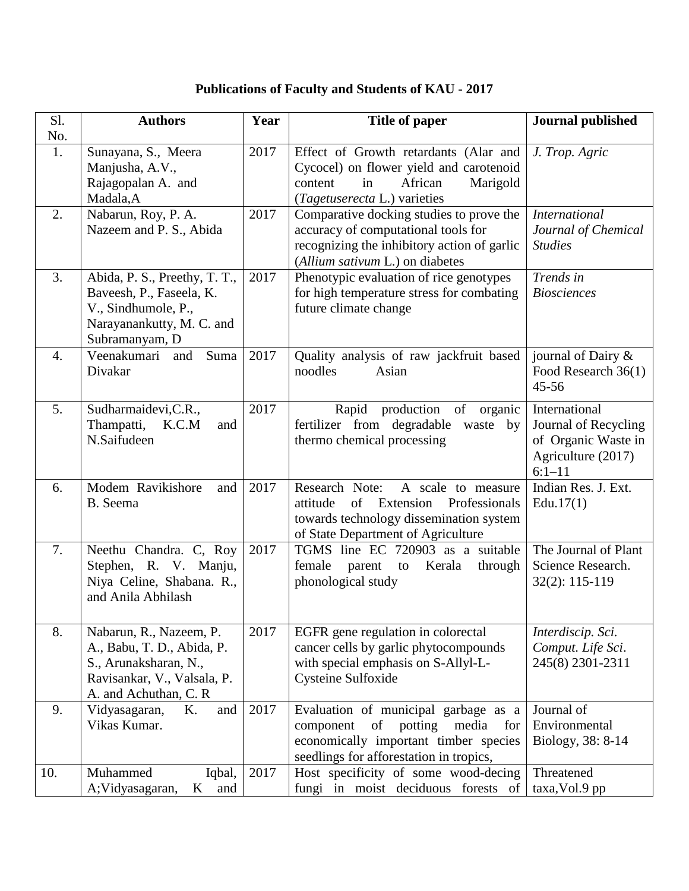## **Publications of Faculty and Students of KAU - 2017**

| Sl.       | <b>Authors</b>                                                                                                                          | Year | <b>Title of paper</b>                                                                                                                                                  | <b>Journal published</b>                                                                         |
|-----------|-----------------------------------------------------------------------------------------------------------------------------------------|------|------------------------------------------------------------------------------------------------------------------------------------------------------------------------|--------------------------------------------------------------------------------------------------|
| No.<br>1. | Sunayana, S., Meera<br>Manjusha, A.V.,<br>Rajagopalan A. and<br>Madala, A                                                               | 2017 | Effect of Growth retardants (Alar and<br>Cycocel) on flower yield and carotenoid<br>African<br>content<br>in<br>Marigold<br>(Tagetuserecta L.) varieties               | J. Trop. Agric                                                                                   |
| 2.        | Nabarun, Roy, P. A.<br>Nazeem and P. S., Abida                                                                                          | 2017 | Comparative docking studies to prove the<br>accuracy of computational tools for<br>recognizing the inhibitory action of garlic<br>(Allium sativum L.) on diabetes      | <b>International</b><br>Journal of Chemical<br><b>Studies</b>                                    |
| 3.        | Abida, P. S., Preethy, T. T.,<br>Baveesh, P., Faseela, K.<br>V., Sindhumole, P.,<br>Narayanankutty, M. C. and<br>Subramanyam, D         | 2017 | Phenotypic evaluation of rice genotypes<br>for high temperature stress for combating<br>future climate change                                                          | Trends in<br><b>Biosciences</b>                                                                  |
| 4.        | Veenakumari<br>and<br>Suma<br>Divakar                                                                                                   | 2017 | Quality analysis of raw jackfruit based<br>noodles<br>Asian                                                                                                            | journal of Dairy &<br>Food Research 36(1)<br>$45 - 56$                                           |
| 5.        | Sudharmaidevi, C.R.,<br>K.C.M<br>Thampatti,<br>and<br>N.Saifudeen                                                                       | 2017 | production of<br>Rapid<br>organic<br>fertilizer from degradable<br>waste by<br>thermo chemical processing                                                              | International<br>Journal of Recycling<br>of Organic Waste in<br>Agriculture (2017)<br>$6:1 - 11$ |
| 6.        | Modem Ravikishore<br>and<br>B. Seema                                                                                                    | 2017 | Research Note:<br>A scale to measure<br>attitude<br>Professionals<br>of<br>Extension<br>towards technology dissemination system<br>of State Department of Agriculture  | Indian Res. J. Ext.<br>Edu. $17(1)$                                                              |
| 7.        | Neethu Chandra. C, Roy<br>Stephen, R. V. Manju,<br>Niya Celine, Shabana. R.,<br>and Anila Abhilash                                      | 2017 | TGMS line EC 720903 as a suitable<br>female<br>parent to<br>Kerala<br>through<br>phonological study                                                                    | The Journal of Plant<br>Science Research.<br>32(2): 115-119                                      |
| 8.        | Nabarun, R., Nazeem, P.<br>A., Babu, T. D., Abida, P.<br>S., Arunaksharan, N.,<br>Ravisankar, V., Valsala, P.<br>A. and Achuthan, C. R. | 2017 | EGFR gene regulation in colorectal<br>cancer cells by garlic phytocompounds<br>with special emphasis on S-Allyl-L-<br>Cysteine Sulfoxide                               | Interdiscip. Sci.<br>Comput. Life Sci.<br>245(8) 2301-2311                                       |
| 9.        | Vidyasagaran,<br>K.<br>and<br>Vikas Kumar.                                                                                              | 2017 | Evaluation of municipal garbage as a<br>potting<br>component<br>of<br>media<br>for<br>economically important timber species<br>seedlings for afforestation in tropics, | Journal of<br>Environmental<br>Biology, 38: 8-14                                                 |
| 10.       | Muhammed<br>Iqbal,<br>A; Vidyasagaran,<br>$\mathbf{K}$<br>and                                                                           | 2017 | Host specificity of some wood-decing<br>fungi in moist deciduous forests of                                                                                            | Threatened<br>taxa, Vol.9 pp                                                                     |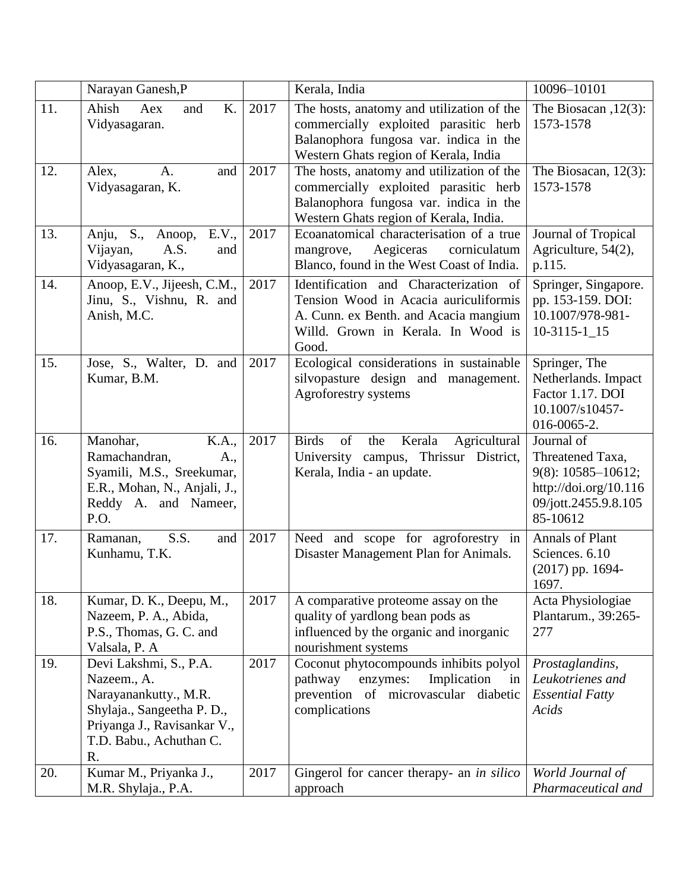|     | Narayan Ganesh, P                                                                                                                                            |      | Kerala, India                                                                                                                                                           | 10096-10101                                                                                                           |
|-----|--------------------------------------------------------------------------------------------------------------------------------------------------------------|------|-------------------------------------------------------------------------------------------------------------------------------------------------------------------------|-----------------------------------------------------------------------------------------------------------------------|
| 11. | Ahish<br>K.<br>Aex<br>and<br>Vidyasagaran.                                                                                                                   | 2017 | The hosts, anatomy and utilization of the<br>commercially exploited parasitic herb<br>Balanophora fungosa var. indica in the<br>Western Ghats region of Kerala, India   | The Biosacan, $12(3)$ :<br>1573-1578                                                                                  |
| 12. | Alex,<br>A.<br>and<br>Vidyasagaran, K.                                                                                                                       | 2017 | The hosts, anatomy and utilization of the<br>commercially exploited parasitic herb<br>Balanophora fungosa var. indica in the<br>Western Ghats region of Kerala, India.  | The Biosacan, $12(3)$ :<br>1573-1578                                                                                  |
| 13. | E.V.,<br>Anju, S., Anoop,<br>Vijayan,<br>A.S.<br>and<br>Vidyasagaran, K.,                                                                                    | 2017 | Ecoanatomical characterisation of a true<br>Aegiceras<br>corniculatum<br>mangrove,<br>Blanco, found in the West Coast of India.                                         | Journal of Tropical<br>Agriculture, 54(2),<br>p.115.                                                                  |
| 14. | Anoop, E.V., Jijeesh, C.M.,<br>Jinu, S., Vishnu, R. and<br>Anish, M.C.                                                                                       | 2017 | Identification and Characterization of<br>Tension Wood in Acacia auriculiformis<br>A. Cunn. ex Benth. and Acacia mangium<br>Willd. Grown in Kerala. In Wood is<br>Good. | Springer, Singapore.<br>pp. 153-159. DOI:<br>10.1007/978-981-<br>$10-3115-115$                                        |
| 15. | Jose, S., Walter, D. and<br>Kumar, B.M.                                                                                                                      | 2017 | Ecological considerations in sustainable<br>silvopasture design and management.<br>Agroforestry systems                                                                 | Springer, The<br>Netherlands. Impact<br>Factor 1.17. DOI<br>10.1007/s10457-<br>016-0065-2.                            |
| 16. | K.A.,<br>Manohar,<br>Ramachandran,<br>A.,<br>Syamili, M.S., Sreekumar,<br>E.R., Mohan, N., Anjali, J.,<br>Reddy A. and Nameer,<br>P.O.                       | 2017 | Kerala<br>Agricultural<br>of<br><b>Birds</b><br>the<br>University campus, Thrissur District,<br>Kerala, India - an update.                                              | Journal of<br>Threatened Taxa,<br>$9(8): 10585 - 10612;$<br>http://doi.org/10.116<br>09/jott.2455.9.8.105<br>85-10612 |
| 17. | S.S.<br>Ramanan,<br>and<br>Kunhamu, T.K.                                                                                                                     | 2017 | Need and scope for agroforestry in<br>Disaster Management Plan for Animals.                                                                                             | <b>Annals of Plant</b><br>Sciences. 6.10<br>$(2017)$ pp. 1694-<br>1697.                                               |
| 18. | Kumar, D. K., Deepu, M.,<br>Nazeem, P. A., Abida,<br>P.S., Thomas, G. C. and<br>Valsala, P. A                                                                | 2017 | A comparative proteome assay on the<br>quality of yardlong bean pods as<br>influenced by the organic and inorganic<br>nourishment systems                               | Acta Physiologiae<br>Plantarum., 39:265-<br>277                                                                       |
| 19. | Devi Lakshmi, S., P.A.<br>Nazeem., A.<br>Narayanankutty., M.R.<br>Shylaja., Sangeetha P. D.,<br>Priyanga J., Ravisankar V.,<br>T.D. Babu., Achuthan C.<br>R. | 2017 | Coconut phytocompounds inhibits polyol<br>pathway<br>enzymes:<br>Implication<br>in<br>prevention of microvascular diabetic<br>complications                             | Prostaglandins,<br>Leukotrienes and<br><b>Essential Fatty</b><br>Acids                                                |
| 20. | Kumar M., Priyanka J.,<br>M.R. Shylaja., P.A.                                                                                                                | 2017 | Gingerol for cancer therapy- an <i>in silico</i><br>approach                                                                                                            | World Journal of<br>Pharmaceutical and                                                                                |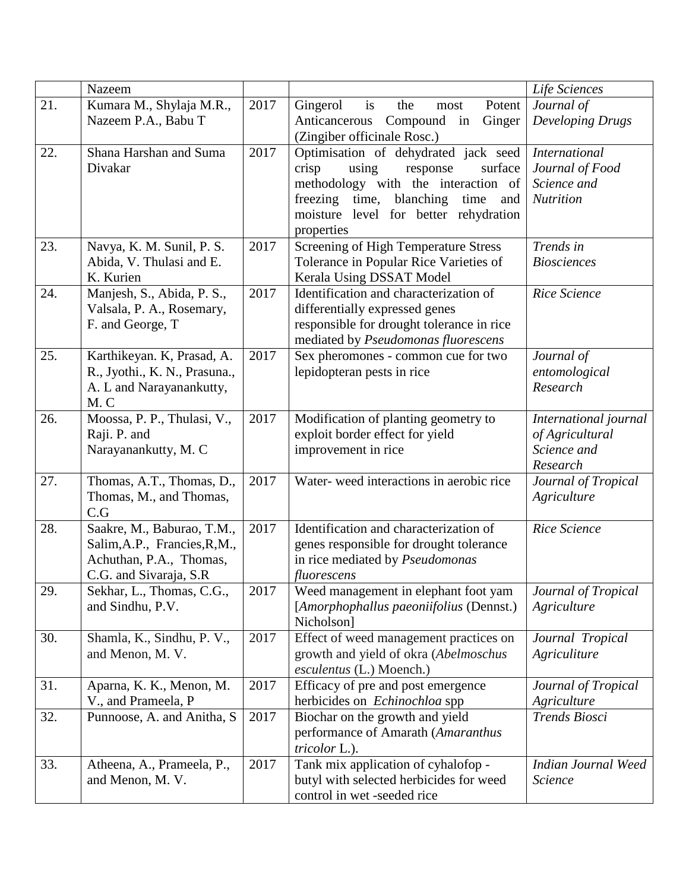|     | Nazeem                          |      |                                             | Life Sciences                            |
|-----|---------------------------------|------|---------------------------------------------|------------------------------------------|
| 21. | Kumara M., Shylaja M.R.,        | 2017 | Gingerol<br>Potent<br>is<br>the<br>most     | Journal of                               |
|     | Nazeem P.A., Babu T             |      | Compound in<br>Ginger<br>Anticancerous      | <b>Developing Drugs</b>                  |
|     |                                 |      | (Zingiber officinale Rosc.)                 |                                          |
| 22. | Shana Harshan and Suma          | 2017 | Optimisation of dehydrated jack seed        | <b>International</b>                     |
|     | Divakar                         |      | crisp<br>using<br>surface<br>response       | Journal of Food                          |
|     |                                 |      | methodology with the interaction of         | Science and                              |
|     |                                 |      | freezing time, blanching<br>time<br>and     | <b>Nutrition</b>                         |
|     |                                 |      | moisture level for better rehydration       |                                          |
|     |                                 |      | properties                                  |                                          |
| 23. | Navya, K. M. Sunil, P. S.       | 2017 | <b>Screening of High Temperature Stress</b> | Trends in                                |
|     | Abida, V. Thulasi and E.        |      | Tolerance in Popular Rice Varieties of      | <b>Biosciences</b>                       |
|     | K. Kurien                       |      | Kerala Using DSSAT Model                    |                                          |
| 24. | Manjesh, S., Abida, P. S.,      | 2017 | Identification and characterization of      | Rice Science                             |
|     | Valsala, P. A., Rosemary,       |      | differentially expressed genes              |                                          |
|     | F. and George, T                |      | responsible for drought tolerance in rice   |                                          |
|     |                                 |      | mediated by Pseudomonas fluorescens         |                                          |
| 25. | Karthikeyan. K, Prasad, A.      | 2017 | Sex pheromones - common cue for two         | Journal of                               |
|     | R., Jyothi., K. N., Prasuna.,   |      | lepidopteran pests in rice                  | entomological                            |
|     | A. L and Narayanankutty,<br>M.C |      |                                             | Research                                 |
| 26. | Moossa, P. P., Thulasi, V.,     | 2017 | Modification of planting geometry to        |                                          |
|     | Raji. P. and                    |      | exploit border effect for yield             | International journal<br>of Agricultural |
|     | Narayanankutty, M. C            |      | improvement in rice                         | Science and                              |
|     |                                 |      |                                             | Research                                 |
| 27. | Thomas, A.T., Thomas, D.,       | 2017 | Water-weed interactions in aerobic rice     | Journal of Tropical                      |
|     | Thomas, M., and Thomas,         |      |                                             | Agriculture                              |
|     | C.G                             |      |                                             |                                          |
| 28. | Saakre, M., Baburao, T.M.,      | 2017 | Identification and characterization of      | Rice Science                             |
|     | Salim, A.P., Francies, R, M.,   |      | genes responsible for drought tolerance     |                                          |
|     | Achuthan, P.A., Thomas,         |      | in rice mediated by Pseudomonas             |                                          |
|     | C.G. and Sivaraja, S.R          |      | fluorescens                                 |                                          |
| 29. | Sekhar, L., Thomas, C.G.,       | 2017 | Weed management in elephant foot yam        | Journal of Tropical                      |
|     | and Sindhu, P.V.                |      | [Amorphophallus paeoniifolius (Dennst.)     | Agriculture                              |
|     |                                 |      | Nicholson]                                  |                                          |
| 30. | Shamla, K., Sindhu, P. V.,      | 2017 | Effect of weed management practices on      | Journal Tropical                         |
|     | and Menon, M. V.                |      | growth and yield of okra (Abelmoschus       | Agriculiture                             |
|     |                                 |      | esculentus (L.) Moench.)                    |                                          |
| 31. | Aparna, K. K., Menon, M.        | 2017 | Efficacy of pre and post emergence          | Journal of Tropical                      |
|     | V., and Prameela, P             |      | herbicides on <i>Echinochloa</i> spp        | Agriculture                              |
| 32. | Punnoose, A. and Anitha, S.     | 2017 | Biochar on the growth and yield             | Trends Biosci                            |
|     |                                 |      | performance of Amarath (Amaranthus          |                                          |
|     |                                 |      | tricolor L.).                               |                                          |
| 33. | Atheena, A., Prameela, P.,      | 2017 | Tank mix application of cyhalofop -         | Indian Journal Weed                      |
|     | and Menon, M. V.                |      | butyl with selected herbicides for weed     | Science                                  |
|     |                                 |      | control in wet -seeded rice                 |                                          |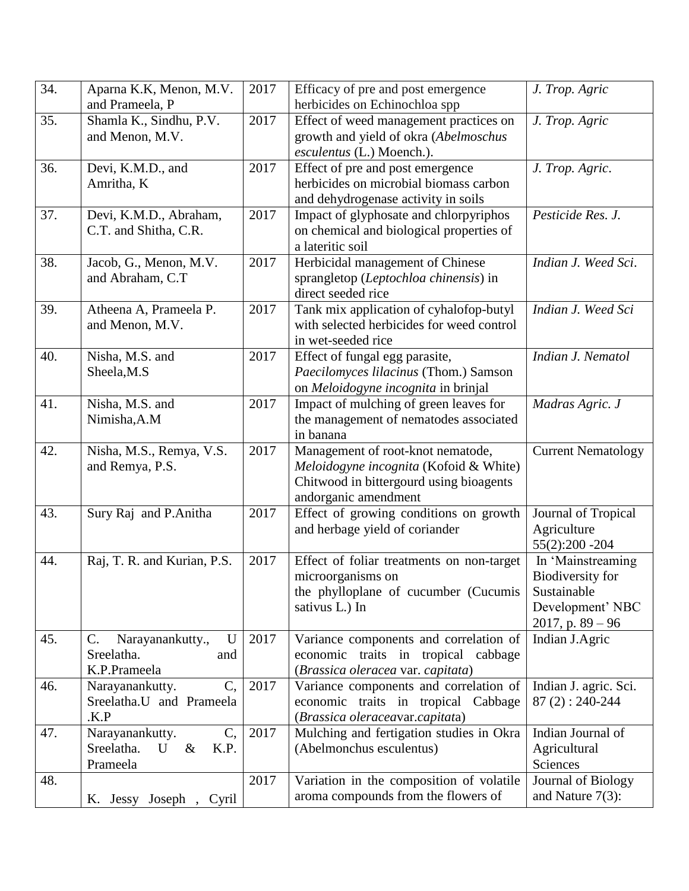| 34. | Aparna K.K, Menon, M.V.               | 2017 | Efficacy of pre and post emergence                     | J. Trop. Agric                  |
|-----|---------------------------------------|------|--------------------------------------------------------|---------------------------------|
|     | and Prameela, P                       |      | herbicides on Echinochloa spp                          |                                 |
| 35. | Shamla K., Sindhu, P.V.               | 2017 | Effect of weed management practices on                 | J. Trop. Agric                  |
|     | and Menon, M.V.                       |      | growth and yield of okra (Abelmoschus                  |                                 |
|     |                                       |      | esculentus (L.) Moench.).                              |                                 |
| 36. | Devi, K.M.D., and                     | 2017 | Effect of pre and post emergence                       | J. Trop. Agric.                 |
|     | Amritha, K                            |      | herbicides on microbial biomass carbon                 |                                 |
|     |                                       |      | and dehydrogenase activity in soils                    |                                 |
| 37. | Devi, K.M.D., Abraham,                | 2017 | Impact of glyphosate and chlorpyriphos                 | Pesticide Res. J.               |
|     | C.T. and Shitha, C.R.                 |      | on chemical and biological properties of               |                                 |
|     |                                       |      | a lateritic soil                                       |                                 |
| 38. | Jacob, G., Menon, M.V.                | 2017 | Herbicidal management of Chinese                       | Indian J. Weed Sci.             |
|     | and Abraham, C.T                      |      | sprangletop (Leptochloa chinensis) in                  |                                 |
|     |                                       |      | direct seeded rice                                     |                                 |
| 39. | Atheena A, Prameela P.                | 2017 | Tank mix application of cyhalofop-butyl                | Indian J. Weed Sci              |
|     | and Menon, M.V.                       |      | with selected herbicides for weed control              |                                 |
|     |                                       |      | in wet-seeded rice                                     |                                 |
| 40. | Nisha, M.S. and                       | 2017 | Effect of fungal egg parasite,                         | Indian J. Nematol               |
|     | Sheela, M.S                           |      | Paecilomyces lilacinus (Thom.) Samson                  |                                 |
|     |                                       |      | on Meloidogyne incognita in brinjal                    |                                 |
| 41. | Nisha, M.S. and                       | 2017 | Impact of mulching of green leaves for                 | Madras Agric. J                 |
|     | Nimisha, A.M                          |      | the management of nematodes associated                 |                                 |
|     |                                       |      | in banana                                              |                                 |
| 42. | Nisha, M.S., Remya, V.S.              | 2017 | Management of root-knot nematode,                      | <b>Current Nematology</b>       |
|     | and Remya, P.S.                       |      | Meloidogyne incognita (Kofoid & White)                 |                                 |
|     |                                       |      | Chitwood in bittergourd using bioagents                |                                 |
|     |                                       |      | andorganic amendment                                   |                                 |
| 43. | Sury Raj and P.Anitha                 | 2017 | Effect of growing conditions on growth                 | Journal of Tropical             |
|     |                                       |      | and herbage yield of coriander                         | Agriculture                     |
|     |                                       |      |                                                        | 55(2):200 - 204                 |
| 44. | Raj, T. R. and Kurian, P.S.           | 2017 | Effect of foliar treatments on non-target              | In 'Mainstreaming               |
|     |                                       |      | microorganisms on                                      | Biodiversity for<br>Sustainable |
|     |                                       |      | the phylloplane of cucumber (Cucumis<br>sativus L.) In | Development' NBC                |
|     |                                       |      |                                                        | $2017$ , p. $89 - 96$           |
| 45. | C.<br>Narayanankutty.,<br>$\mathbf U$ | 2017 | Variance components and correlation of                 | Indian J.Agric                  |
|     | Sreelatha.<br>and                     |      | economic traits in tropical cabbage                    |                                 |
|     | K.P.Prameela                          |      | (Brassica oleracea var. capitata)                      |                                 |
| 46. | Narayanankutty.<br>$C_{\rm{L}}$       | 2017 | Variance components and correlation of                 | Indian J. agric. Sci.           |
|     | Sreelatha.U and Prameela              |      | economic traits in tropical Cabbage                    | $87(2): 240-244$                |
|     | .K.P                                  |      | (Brassica oleraceavar.capitata)                        |                                 |
| 47. | Narayanankutty.<br>C,                 | 2017 | Mulching and fertigation studies in Okra               | Indian Journal of               |
|     | Sreelatha.<br>U<br>$\&$<br>K.P.       |      | (Abelmonchus esculentus)                               | Agricultural                    |
|     | Prameela                              |      |                                                        | Sciences                        |
| 48. |                                       | 2017 | Variation in the composition of volatile               | Journal of Biology              |
|     | K. Jessy Joseph, Cyril                |      | aroma compounds from the flowers of                    | and Nature $7(3)$ :             |
|     |                                       |      |                                                        |                                 |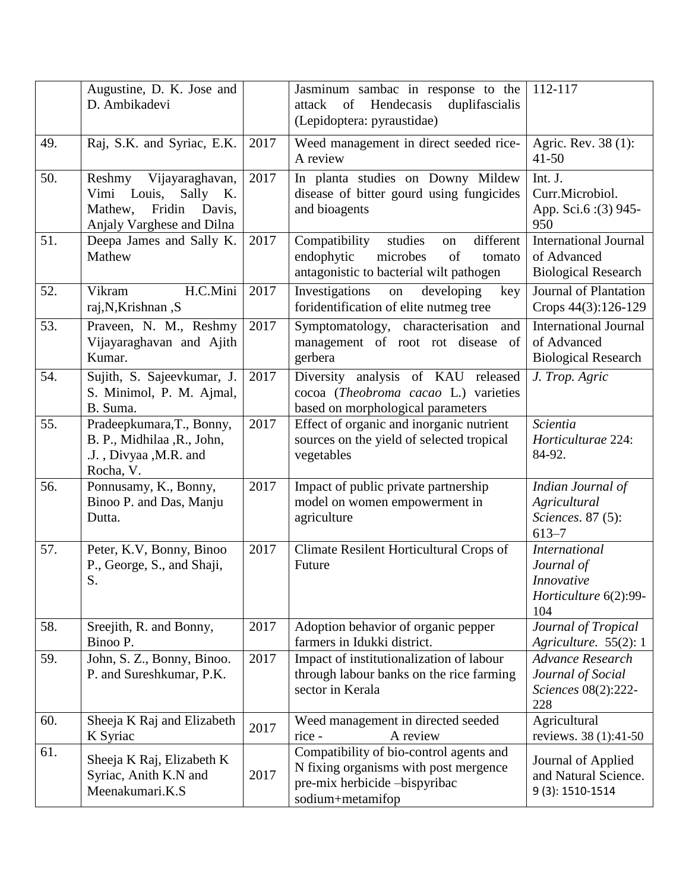|     | Augustine, D. K. Jose and<br>D. Ambikadevi                                                                       |      | Jasminum sambac in response to the<br>Hendecasis<br>attack<br>of<br>duplifascialis<br>(Lepidoptera: pyraustidae)                      | 112-117                                                                          |
|-----|------------------------------------------------------------------------------------------------------------------|------|---------------------------------------------------------------------------------------------------------------------------------------|----------------------------------------------------------------------------------|
| 49. | Raj, S.K. and Syriac, E.K.                                                                                       | 2017 | Weed management in direct seeded rice-<br>A review                                                                                    | Agric. Rev. 38 (1):<br>$41 - 50$                                                 |
| 50. | Reshmy Vijayaraghavan,<br>Vimi Louis,<br>Sally<br>Κ.<br>Fridin<br>Davis,<br>Mathew,<br>Anjaly Varghese and Dilna | 2017 | In planta studies on Downy Mildew<br>disease of bitter gourd using fungicides<br>and bioagents                                        | Int. J.<br>Curr.Microbiol.<br>App. Sci.6 : (3) 945-<br>950                       |
| 51. | Deepa James and Sally K.<br>Mathew                                                                               | 2017 | Compatibility<br>different<br>studies<br>on<br>endophytic<br>microbes<br>of<br>tomato<br>antagonistic to bacterial wilt pathogen      | <b>International Journal</b><br>of Advanced<br><b>Biological Research</b>        |
| 52. | H.C.Mini<br>Vikram<br>raj, N, Krishnan, S                                                                        | 2017 | Investigations<br>developing<br>on<br>key<br>foridentification of elite nutmeg tree                                                   | Journal of Plantation<br>Crops 44(3):126-129                                     |
| 53. | Praveen, N. M., Reshmy<br>Vijayaraghavan and Ajith<br>Kumar.                                                     | 2017 | Symptomatology, characterisation and<br>management of root rot disease of<br>gerbera                                                  | <b>International Journal</b><br>of Advanced<br><b>Biological Research</b>        |
| 54. | Sujith, S. Sajeevkumar, J.<br>S. Minimol, P. M. Ajmal,<br>B. Suma.                                               | 2017 | Diversity analysis of KAU released<br>cocoa (Theobroma cacao L.) varieties<br>based on morphological parameters                       | J. Trop. Agric                                                                   |
| 55. | Pradeepkumara, T., Bonny,<br>B. P., Midhilaa, R., John,<br>.J., Divyaa, M.R. and<br>Rocha, V.                    | 2017 | Effect of organic and inorganic nutrient<br>sources on the yield of selected tropical<br>vegetables                                   | Scientia<br>Horticulturae 224:<br>84-92.                                         |
| 56. | Ponnusamy, K., Bonny,<br>Binoo P. and Das, Manju<br>Dutta.                                                       | 2017 | Impact of public private partnership<br>model on women empowerment in<br>agriculture                                                  | Indian Journal of<br>Agricultural<br>Sciences. 87 (5):<br>$613 - 7$              |
| 57. | Peter, K.V, Bonny, Binoo<br>P., George, S., and Shaji,<br>S.                                                     | 2017 | Climate Resilent Horticultural Crops of<br>Future                                                                                     | <b>International</b><br>Journal of<br>Innovative<br>Horticulture 6(2):99-<br>104 |
| 58. | Sreejith, R. and Bonny,<br>Binoo P.                                                                              | 2017 | Adoption behavior of organic pepper<br>farmers in Idukki district.                                                                    | Journal of Tropical<br>Agriculture. 55(2): 1                                     |
| 59. | John, S. Z., Bonny, Binoo.<br>P. and Sureshkumar, P.K.                                                           | 2017 | Impact of institutionalization of labour<br>through labour banks on the rice farming<br>sector in Kerala                              | <b>Advance Research</b><br>Journal of Social<br>Sciences 08(2):222-<br>228       |
| 60. | Sheeja K Raj and Elizabeth<br>K Syriac                                                                           | 2017 | Weed management in directed seeded<br>A review<br>rice -                                                                              | Agricultural<br>reviews. 38 (1):41-50                                            |
| 61. | Sheeja K Raj, Elizabeth K<br>Syriac, Anith K.N and<br>Meenakumari.K.S                                            | 2017 | Compatibility of bio-control agents and<br>N fixing organisms with post mergence<br>pre-mix herbicide -bispyribac<br>sodium+metamifop | Journal of Applied<br>and Natural Science.<br>9 (3): 1510-1514                   |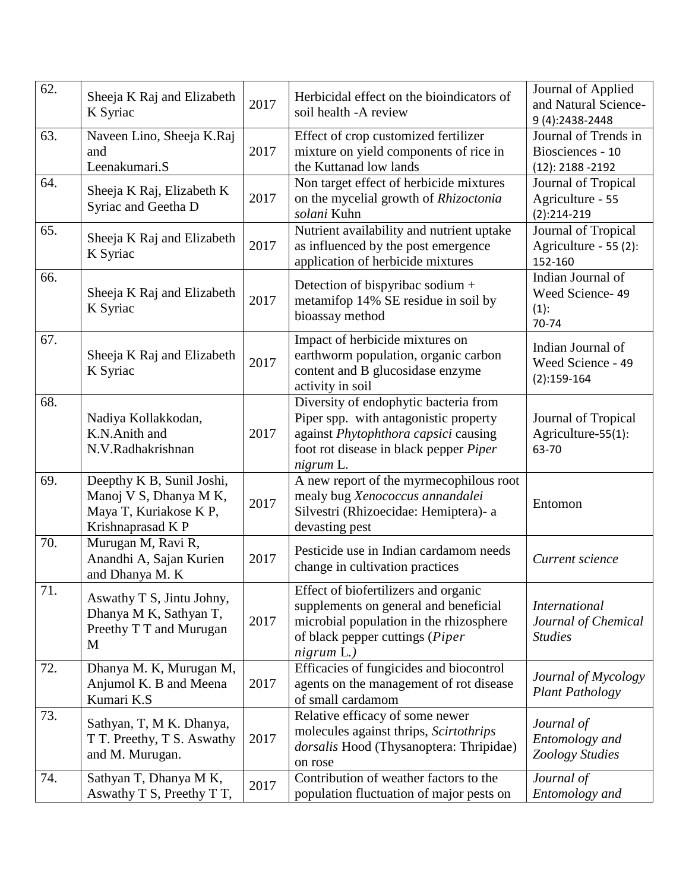| 62. | Sheeja K Raj and Elizabeth<br>K Syriac                                                            | 2017 | Herbicidal effect on the bioindicators of<br>soil health -A review                                                                                                            | Journal of Applied<br>and Natural Science-<br>9 (4):2438-2448   |
|-----|---------------------------------------------------------------------------------------------------|------|-------------------------------------------------------------------------------------------------------------------------------------------------------------------------------|-----------------------------------------------------------------|
| 63. | Naveen Lino, Sheeja K.Raj<br>and<br>Leenakumari.S                                                 | 2017 | Effect of crop customized fertilizer<br>mixture on yield components of rice in<br>the Kuttanad low lands                                                                      | Journal of Trends in<br>Biosciences - 10<br>$(12): 2188 - 2192$ |
| 64. | Sheeja K Raj, Elizabeth K<br>Syriac and Geetha D                                                  | 2017 | Non target effect of herbicide mixtures<br>on the mycelial growth of Rhizoctonia<br>solani Kuhn                                                                               | Journal of Tropical<br>Agriculture - 55<br>$(2):214-219$        |
| 65. | Sheeja K Raj and Elizabeth<br>K Syriac                                                            | 2017 | Nutrient availability and nutrient uptake<br>as influenced by the post emergence<br>application of herbicide mixtures                                                         | Journal of Tropical<br>Agriculture - 55 (2):<br>152-160         |
| 66. | Sheeja K Raj and Elizabeth<br>K Syriac                                                            | 2017 | Detection of bispyribac sodium +<br>metamifop 14% SE residue in soil by<br>bioassay method                                                                                    | Indian Journal of<br>Weed Science-49<br>$(1)$ :<br>70-74        |
| 67. | Sheeja K Raj and Elizabeth<br>K Syriac                                                            | 2017 | Impact of herbicide mixtures on<br>earthworm population, organic carbon<br>content and B glucosidase enzyme<br>activity in soil                                               | Indian Journal of<br>Weed Science - 49<br>$(2):159-164$         |
| 68. | Nadiya Kollakkodan,<br>K.N.Anith and<br>N.V.Radhakrishnan                                         | 2017 | Diversity of endophytic bacteria from<br>Piper spp. with antagonistic property<br>against Phytophthora capsici causing<br>foot rot disease in black pepper Piper<br>nigrum L. | Journal of Tropical<br>Agriculture-55(1):<br>63-70              |
| 69. | Deepthy K B, Sunil Joshi,<br>Manoj V S, Dhanya M K,<br>Maya T, Kuriakose K P,<br>Krishnaprasad KP | 2017 | A new report of the myrmecophilous root<br>mealy bug Xenococcus annandalei<br>Silvestri (Rhizoecidae: Hemiptera)- a<br>devasting pest                                         | Entomon                                                         |
| 70. | Murugan M, Ravi R,<br>Anandhi A, Sajan Kurien<br>and Dhanya M. K                                  | 2017 | Pesticide use in Indian cardamom needs<br>change in cultivation practices                                                                                                     | Current science                                                 |
| 71. | Aswathy T S, Jintu Johny,<br>Dhanya M K, Sathyan T,<br>Preethy T T and Murugan<br>M               | 2017 | Effect of biofertilizers and organic<br>supplements on general and beneficial<br>microbial population in the rhizosphere<br>of black pepper cuttings (Piper<br>nigrum L.)     | <i>International</i><br>Journal of Chemical<br><b>Studies</b>   |
| 72. | Dhanya M. K, Murugan M,<br>Anjumol K. B and Meena<br>Kumari K.S                                   | 2017 | Efficacies of fungicides and biocontrol<br>agents on the management of rot disease<br>of small cardamom                                                                       | Journal of Mycology<br><b>Plant Pathology</b>                   |
| 73. | Sathyan, T, M K. Dhanya,<br>T T. Preethy, T S. Aswathy<br>and M. Murugan.                         | 2017 | Relative efficacy of some newer<br>molecules against thrips, Scirtothrips<br>dorsalis Hood (Thysanoptera: Thripidae)<br>on rose                                               | Journal of<br>Entomology and<br>Zoology Studies                 |
| 74. | Sathyan T, Dhanya M K,<br>Aswathy T S, Preethy T T,                                               | 2017 | Contribution of weather factors to the<br>population fluctuation of major pests on                                                                                            | Journal of<br>Entomology and                                    |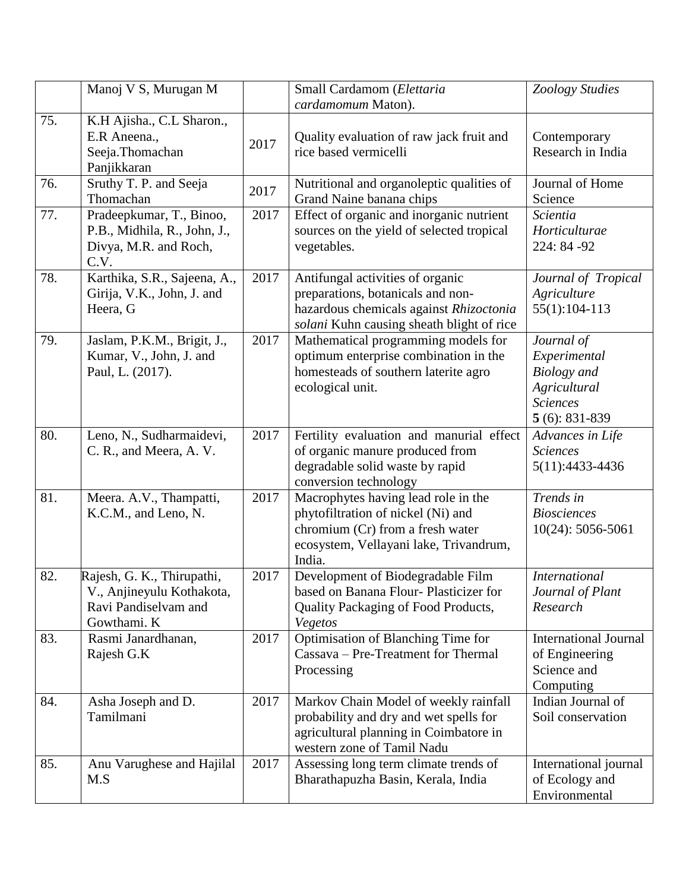|     | Manoj V S, Murugan M                                                                           |      | Small Cardamom (Elettaria<br>cardamomum Maton).                                                                                                                   | Zoology Studies                                                                                         |
|-----|------------------------------------------------------------------------------------------------|------|-------------------------------------------------------------------------------------------------------------------------------------------------------------------|---------------------------------------------------------------------------------------------------------|
| 75. | K.H Ajisha., C.L Sharon.,<br>E.R Aneena.,<br>Seeja.Thomachan<br>Panjikkaran                    | 2017 | Quality evaluation of raw jack fruit and<br>rice based vermicelli                                                                                                 | Contemporary<br>Research in India                                                                       |
| 76. | Sruthy T. P. and Seeja<br>Thomachan                                                            | 2017 | Nutritional and organoleptic qualities of<br>Grand Naine banana chips                                                                                             | Journal of Home<br>Science                                                                              |
| 77. | Pradeepkumar, T., Binoo,<br>P.B., Midhila, R., John, J.,<br>Divya, M.R. and Roch,<br>C.V.      | 2017 | Effect of organic and inorganic nutrient<br>sources on the yield of selected tropical<br>vegetables.                                                              | Scientia<br>Horticulturae<br>224: 84 - 92                                                               |
| 78. | Karthika, S.R., Sajeena, A.,<br>Girija, V.K., John, J. and<br>Heera, G                         | 2017 | Antifungal activities of organic<br>preparations, botanicals and non-<br>hazardous chemicals against Rhizoctonia<br>solani Kuhn causing sheath blight of rice     | Journal of Tropical<br>Agriculture<br>$55(1):104-113$                                                   |
| 79. | Jaslam, P.K.M., Brigit, J.,<br>Kumar, V., John, J. and<br>Paul, L. (2017).                     | 2017 | Mathematical programming models for<br>optimum enterprise combination in the<br>homesteads of southern laterite agro<br>ecological unit.                          | Journal of<br>Experimental<br><b>Biology</b> and<br>Agricultural<br><b>Sciences</b><br>$5(6)$ : 831-839 |
| 80. | Leno, N., Sudharmaidevi,<br>C. R., and Meera, A. V.                                            | 2017 | Fertility evaluation and manurial effect<br>of organic manure produced from<br>degradable solid waste by rapid<br>conversion technology                           | Advances in Life<br><b>Sciences</b><br>5(11):4433-4436                                                  |
| 81. | Meera. A.V., Thampatti,<br>K.C.M., and Leno, N.                                                | 2017 | Macrophytes having lead role in the<br>phytofiltration of nickel (Ni) and<br>chromium (Cr) from a fresh water<br>ecosystem, Vellayani lake, Trivandrum,<br>India. | Trends in<br><b>Biosciences</b><br>10(24): 5056-5061                                                    |
| 82. | Rajesh, G. K., Thirupathi,<br>V., Anjineyulu Kothakota,<br>Ravi Pandiselvam and<br>Gowthami. K | 2017 | Development of Biodegradable Film<br>based on Banana Flour-Plasticizer for<br>Quality Packaging of Food Products,<br>Vegetos                                      | <i>International</i><br>Journal of Plant<br>Research                                                    |
| 83. | Rasmi Janardhanan,<br>Rajesh G.K                                                               | 2017 | Optimisation of Blanching Time for<br>Cassava – Pre-Treatment for Thermal<br>Processing                                                                           | <b>International Journal</b><br>of Engineering<br>Science and<br>Computing                              |
| 84. | Asha Joseph and D.<br>Tamilmani                                                                | 2017 | Markov Chain Model of weekly rainfall<br>probability and dry and wet spells for<br>agricultural planning in Coimbatore in<br>western zone of Tamil Nadu           | Indian Journal of<br>Soil conservation                                                                  |
| 85. | Anu Varughese and Hajilal<br>M.S                                                               | 2017 | Assessing long term climate trends of<br>Bharathapuzha Basin, Kerala, India                                                                                       | International journal<br>of Ecology and<br>Environmental                                                |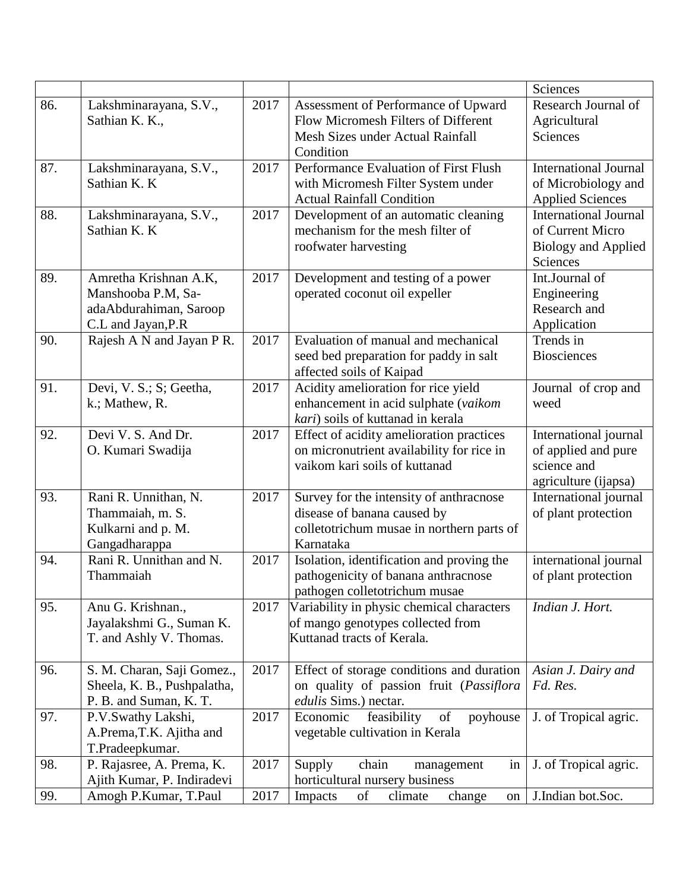|     |                             |      |                                           | Sciences                     |
|-----|-----------------------------|------|-------------------------------------------|------------------------------|
| 86. | Lakshminarayana, S.V.,      | 2017 | Assessment of Performance of Upward       | Research Journal of          |
|     | Sathian K. K.,              |      | Flow Micromesh Filters of Different       | Agricultural                 |
|     |                             |      | Mesh Sizes under Actual Rainfall          | Sciences                     |
|     |                             |      | Condition                                 |                              |
| 87. | Lakshminarayana, S.V.,      | 2017 | Performance Evaluation of First Flush     | <b>International Journal</b> |
|     | Sathian K. K                |      | with Micromesh Filter System under        | of Microbiology and          |
|     |                             |      | <b>Actual Rainfall Condition</b>          | <b>Applied Sciences</b>      |
| 88. | Lakshminarayana, S.V.,      | 2017 | Development of an automatic cleaning      | <b>International Journal</b> |
|     | Sathian K. K                |      | mechanism for the mesh filter of          | of Current Micro             |
|     |                             |      | roofwater harvesting                      | <b>Biology and Applied</b>   |
|     |                             |      |                                           | Sciences                     |
| 89. | Amretha Krishnan A.K,       | 2017 | Development and testing of a power        | Int.Journal of               |
|     | Manshooba P.M, Sa-          |      | operated coconut oil expeller             | Engineering                  |
|     | adaAbdurahiman, Saroop      |      |                                           | Research and                 |
| 90. | C.L and Jayan, P.R          | 2017 | Evaluation of manual and mechanical       | Application<br>Trends in     |
|     | Rajesh A N and Jayan P R.   |      | seed bed preparation for paddy in salt    | <b>Biosciences</b>           |
|     |                             |      | affected soils of Kaipad                  |                              |
| 91. | Devi, V. S.; S; Geetha,     | 2017 | Acidity amelioration for rice yield       | Journal of crop and          |
|     | k.; Mathew, R.              |      | enhancement in acid sulphate (vaikom      | weed                         |
|     |                             |      | kari) soils of kuttanad in kerala         |                              |
| 92. | Devi V. S. And Dr.          | 2017 | Effect of acidity amelioration practices  | International journal        |
|     | O. Kumari Swadija           |      | on micronutrient availability for rice in | of applied and pure          |
|     |                             |      | vaikom kari soils of kuttanad             | science and                  |
|     |                             |      |                                           | agriculture (ijapsa)         |
| 93. | Rani R. Unnithan, N.        | 2017 | Survey for the intensity of anthracnose   | International journal        |
|     | Thammaiah, m. S.            |      | disease of banana caused by               | of plant protection          |
|     | Kulkarni and p. M.          |      | colletotrichum musae in northern parts of |                              |
|     | Gangadharappa               |      | Karnataka                                 |                              |
| 94. | Rani R. Unnithan and N.     | 2017 | Isolation, identification and proving the | international journal        |
|     | Thammaiah                   |      | pathogenicity of banana anthracnose       | of plant protection          |
|     |                             |      | pathogen colletotrichum musae             |                              |
| 95. | Anu G. Krishnan.,           | 2017 | Variability in physic chemical characters | Indian J. Hort.              |
|     | Jayalakshmi G., Suman K.    |      | of mango genotypes collected from         |                              |
|     | T. and Ashly V. Thomas.     |      | Kuttanad tracts of Kerala.                |                              |
| 96. | S. M. Charan, Saji Gomez.,  | 2017 | Effect of storage conditions and duration | Asian J. Dairy and           |
|     | Sheela, K. B., Pushpalatha, |      | on quality of passion fruit (Passiflora   | Fd. Res.                     |
|     | P. B. and Suman, K. T.      |      | edulis Sims.) nectar.                     |                              |
| 97. | P.V.Swathy Lakshi,          | 2017 | of<br>Economic<br>feasibility<br>poyhouse | J. of Tropical agric.        |
|     | A.Prema, T.K. Ajitha and    |      | vegetable cultivation in Kerala           |                              |
|     | T.Pradeepkumar.             |      |                                           |                              |
| 98. | P. Rajasree, A. Prema, K.   | 2017 | chain<br>Supply<br>in<br>management       | J. of Tropical agric.        |
|     | Ajith Kumar, P. Indiradevi  |      | horticultural nursery business            |                              |
| 99. | Amogh P.Kumar, T.Paul       | 2017 | of<br>Impacts<br>climate<br>change<br>on  | J.Indian bot.Soc.            |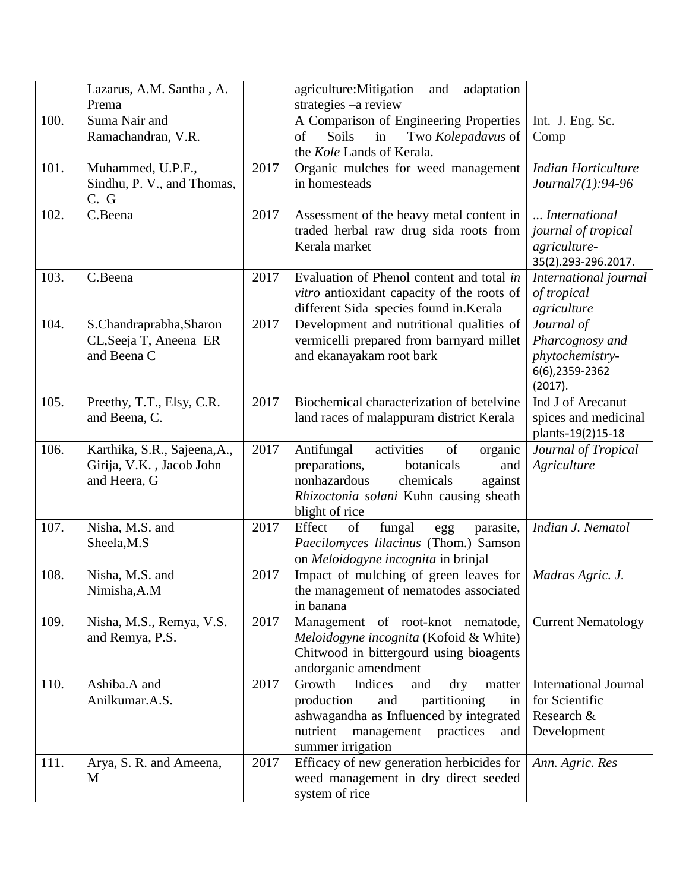|      | Lazarus, A.M. Santha, A.     |      | agriculture: Mitigation<br>and<br>adaptation |                              |
|------|------------------------------|------|----------------------------------------------|------------------------------|
|      | Prema                        |      | strategies -a review                         |                              |
| 100. | Suma Nair and                |      | A Comparison of Engineering Properties       | Int. J. Eng. Sc.             |
|      | Ramachandran, V.R.           |      | Soils<br>of<br>in<br>Two Kolepadavus of      | Comp                         |
|      |                              |      | the Kole Lands of Kerala.                    |                              |
| 101. | Muhammed, U.P.F.,            | 2017 | Organic mulches for weed management          | <b>Indian Horticulture</b>   |
|      | Sindhu, P. V., and Thomas,   |      | in homesteads                                | Journal7(1):94-96            |
|      | C. G                         |      |                                              |                              |
| 102. | C.Beena                      | 2017 | Assessment of the heavy metal content in     | International                |
|      |                              |      | traded herbal raw drug sida roots from       | journal of tropical          |
|      |                              |      | Kerala market                                | agriculture-                 |
|      |                              |      |                                              | 35(2).293-296.2017.          |
| 103. | C.Beena                      | 2017 | Evaluation of Phenol content and total in    | International journal        |
|      |                              |      | vitro antioxidant capacity of the roots of   | of tropical                  |
|      |                              |      | different Sida species found in Kerala       | agriculture                  |
| 104. | S.Chandraprabha, Sharon      | 2017 | Development and nutritional qualities of     | Journal of                   |
|      | CL, Seeja T, Aneena ER       |      | vermicelli prepared from barnyard millet     | Pharcognosy and              |
|      | and Beena C                  |      | and ekanayakam root bark                     | phytochemistry-              |
|      |                              |      |                                              | 6(6),2359-2362               |
|      |                              |      |                                              | (2017).                      |
| 105. | Preethy, T.T., Elsy, C.R.    | 2017 | Biochemical characterization of betelvine    | Ind J of Arecanut            |
|      | and Beena, C.                |      | land races of malappuram district Kerala     | spices and medicinal         |
|      |                              |      |                                              | plants-19(2)15-18            |
| 106. | Karthika, S.R., Sajeena, A., | 2017 | activities<br>Antifungal<br>of<br>organic    | Journal of Tropical          |
|      | Girija, V.K., Jacob John     |      | botanicals<br>preparations,<br>and           | Agriculture                  |
|      | and Heera, G                 |      | nonhazardous<br>chemicals<br>against         |                              |
|      |                              |      | Rhizoctonia solani Kuhn causing sheath       |                              |
|      |                              |      | blight of rice                               |                              |
| 107. | Nisha, M.S. and              | 2017 | Effect<br>of<br>fungal<br>parasite,<br>egg   | Indian J. Nematol            |
|      | Sheela, M.S                  |      | Paecilomyces lilacinus (Thom.) Samson        |                              |
|      |                              |      | on Meloidogyne incognita in brinjal          |                              |
| 108. | Nisha, M.S. and              | 2017 | Impact of mulching of green leaves for       | Madras Agric. J.             |
|      | Nimisha, A.M                 |      | the management of nematodes associated       |                              |
|      |                              |      | in banana                                    |                              |
| 109. | Nisha, M.S., Remya, V.S.     | 2017 | Management of root-knot nematode,            | <b>Current Nematology</b>    |
|      | and Remya, P.S.              |      | Meloidogyne incognita (Kofoid & White)       |                              |
|      |                              |      | Chitwood in bittergourd using bioagents      |                              |
|      |                              |      | andorganic amendment                         |                              |
| 110. | Ashiba.A and                 | 2017 | Indices<br>Growth<br>and<br>dry<br>matter    | <b>International Journal</b> |
|      | Anilkumar.A.S.               |      | production<br>partitioning<br>and<br>in      | for Scientific               |
|      |                              |      | ashwagandha as Influenced by integrated      | Research &                   |
|      |                              |      | nutrient<br>management<br>practices<br>and   | Development                  |
|      |                              |      | summer irrigation                            |                              |
| 111. | Arya, S. R. and Ameena,      | 2017 | Efficacy of new generation herbicides for    | Ann. Agric. Res              |
|      | M                            |      | weed management in dry direct seeded         |                              |
|      |                              |      | system of rice                               |                              |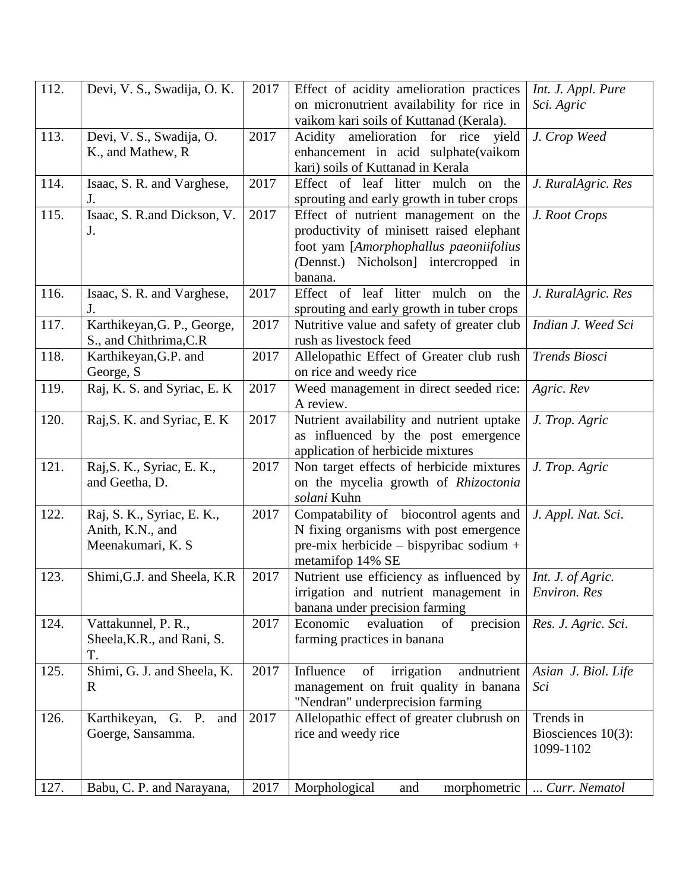| 112. | Devi, V. S., Swadija, O. K.  | 2017 | Effect of acidity amelioration practices     | Int. J. Appl. Pure  |
|------|------------------------------|------|----------------------------------------------|---------------------|
|      |                              |      | on micronutrient availability for rice in    | Sci. Agric          |
|      |                              |      | vaikom kari soils of Kuttanad (Kerala).      |                     |
| 113. | Devi, V. S., Swadija, O.     | 2017 | Acidity amelioration for rice<br>yield       | J. Crop Weed        |
|      | K., and Mathew, R.           |      | enhancement in acid sulphate(vaikom          |                     |
|      |                              |      | kari) soils of Kuttanad in Kerala            |                     |
| 114. | Isaac, S. R. and Varghese,   | 2017 | Effect of leaf litter mulch on the           | J. RuralAgric. Res  |
|      | J.                           |      | sprouting and early growth in tuber crops    |                     |
| 115. | Isaac, S. R.and Dickson, V.  | 2017 | Effect of nutrient management on the         | J. Root Crops       |
|      | J.                           |      | productivity of minisett raised elephant     |                     |
|      |                              |      | foot yam [Amorphophallus paeoniifolius       |                     |
|      |                              |      | (Dennst.) Nicholson] intercropped in         |                     |
|      |                              |      | banana.                                      |                     |
| 116. | Isaac, S. R. and Varghese,   | 2017 | Effect of leaf litter mulch on the           | J. RuralAgric. Res  |
|      | J.                           |      | sprouting and early growth in tuber crops    |                     |
| 117. | Karthikeyan, G. P., George,  | 2017 | Nutritive value and safety of greater club   | Indian J. Weed Sci  |
|      | S., and Chithrima, C.R.      |      | rush as livestock feed                       |                     |
| 118. | Karthikeyan, G.P. and        | 2017 | Allelopathic Effect of Greater club rush     | Trends Biosci       |
|      | George, S                    |      | on rice and weedy rice                       |                     |
| 119. | Raj, K. S. and Syriac, E. K  | 2017 | Weed management in direct seeded rice:       | Agric. Rev          |
|      |                              |      | A review.                                    |                     |
| 120. | Raj, S. K. and Syriac, E. K. | 2017 | Nutrient availability and nutrient uptake    | J. Trop. Agric      |
|      |                              |      | as influenced by the post emergence          |                     |
|      |                              |      | application of herbicide mixtures            |                     |
| 121. | Raj, S. K., Syriac, E. K.,   | 2017 | Non target effects of herbicide mixtures     | J. Trop. Agric      |
|      | and Geetha, D.               |      | on the mycelia growth of Rhizoctonia         |                     |
|      |                              |      | solani Kuhn                                  |                     |
| 122. | Raj, S. K., Syriac, E. K.,   | 2017 | Compatability of biocontrol agents and       | J. Appl. Nat. Sci.  |
|      | Anith, K.N., and             |      | N fixing organisms with post emergence       |                     |
|      | Meenakumari, K. S.           |      | pre-mix herbicide - bispyribac sodium +      |                     |
|      |                              |      | metamifop 14% SE                             |                     |
| 123. | Shimi, G.J. and Sheela, K.R. | 2017 | Nutrient use efficiency as influenced by     | Int. J. of Agric.   |
|      |                              |      | irrigation and nutrient management in        | Environ. Res        |
|      |                              |      | banana under precision farming               |                     |
| 124. | Vattakunnel, P. R.,          | 2017 | precision<br>Economic<br>evaluation<br>of    | Res. J. Agric. Sci. |
|      | Sheela, K.R., and Rani, S.   |      | farming practices in banana                  |                     |
|      | T.                           |      |                                              |                     |
| 125. | Shimi, G. J. and Sheela, K.  | 2017 | Influence<br>of<br>irrigation<br>andnutrient | Asian J. Biol. Life |
|      | R                            |      | management on fruit quality in banana        | Sci                 |
|      |                              |      | "Nendran" underprecision farming             |                     |
| 126. | Karthikeyan, G. P. and       | 2017 | Allelopathic effect of greater clubrush on   | Trends in           |
|      | Goerge, Sansamma.            |      | rice and weedy rice                          | Biosciences 10(3):  |
|      |                              |      |                                              | 1099-1102           |
|      |                              |      |                                              |                     |
| 127. | Babu, C. P. and Narayana,    | 2017 | Morphological<br>and<br>morphometric         | Curr. Nematol       |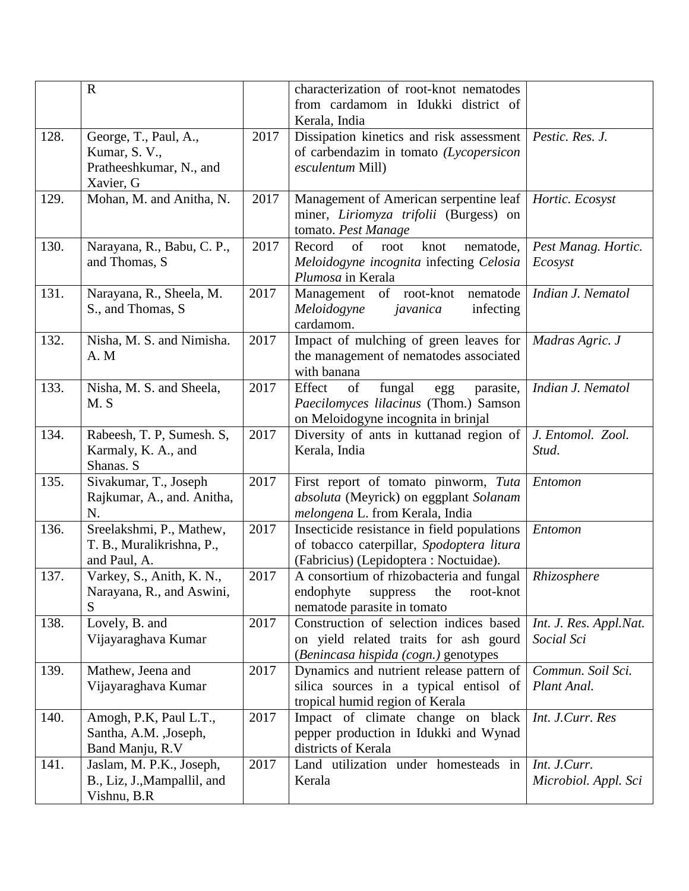|      | $\mathbf R$                      |      | characterization of root-knot nematodes                                        |                        |
|------|----------------------------------|------|--------------------------------------------------------------------------------|------------------------|
|      |                                  |      | from cardamom in Idukki district of                                            |                        |
|      |                                  |      | Kerala, India                                                                  |                        |
| 128. | George, T., Paul, A.,            | 2017 | Dissipation kinetics and risk assessment                                       | Pestic. Res. J.        |
|      | Kumar, S. V.,                    |      | of carbendazim in tomato (Lycopersicon                                         |                        |
|      | Pratheeshkumar, N., and          |      | esculentum Mill)                                                               |                        |
|      | Xavier, G                        |      |                                                                                |                        |
| 129. | Mohan, M. and Anitha, N.         | 2017 | Management of American serpentine leaf                                         | Hortic. Ecosyst        |
|      |                                  |      | miner, Liriomyza trifolii (Burgess) on                                         |                        |
|      |                                  |      | tomato. Pest Manage                                                            |                        |
| 130. | Narayana, R., Babu, C. P.,       | 2017 | of<br>Record<br>knot<br>root<br>nematode,                                      | Pest Manag. Hortic.    |
|      | and Thomas, S                    |      | Meloidogyne incognita infecting Celosia                                        | Ecosyst                |
|      |                                  |      | Plumosa in Kerala                                                              |                        |
| 131. | Narayana, R., Sheela, M.         | 2017 | Management of root-knot<br>nematode                                            | Indian J. Nematol      |
|      | S., and Thomas, S.               |      | Meloidogyne<br>infecting<br>javanica                                           |                        |
|      |                                  |      | cardamom.                                                                      |                        |
| 132. | Nisha, M. S. and Nimisha.        | 2017 | Impact of mulching of green leaves for                                         | Madras Agric. J        |
|      | A. M                             |      | the management of nematodes associated                                         |                        |
|      |                                  |      | with banana                                                                    |                        |
| 133. | Nisha, M. S. and Sheela,         | 2017 | Effect<br>of<br>fungal<br>parasite,                                            | Indian J. Nematol      |
|      | M.S                              |      | egg<br>Paecilomyces lilacinus (Thom.) Samson                                   |                        |
|      |                                  |      |                                                                                |                        |
| 134. | Rabeesh, T. P, Sumesh. S,        | 2017 | on Meloidogyne incognita in brinjal<br>Diversity of ants in kuttanad region of | J. Entomol. Zool.      |
|      |                                  |      |                                                                                | Stud.                  |
|      | Karmaly, K. A., and<br>Shanas. S |      | Kerala, India                                                                  |                        |
| 135. |                                  | 2017 |                                                                                |                        |
|      | Sivakumar, T., Joseph            |      | First report of tomato pinworm, Tuta                                           | Entomon                |
|      | Rajkumar, A., and. Anitha,       |      | absoluta (Meyrick) on eggplant Solanam                                         |                        |
|      | N.                               |      | melongena L. from Kerala, India                                                |                        |
| 136. | Sreelakshmi, P., Mathew,         | 2017 | Insecticide resistance in field populations                                    | Entomon                |
|      | T. B., Muralikrishna, P.,        |      | of tobacco caterpillar, Spodoptera litura                                      |                        |
|      | and Paul, A.                     |      | (Fabricius) (Lepidoptera : Noctuidae).                                         |                        |
| 137. | Varkey, S., Anith, K. N.,        | 2017 | A consortium of rhizobacteria and fungal                                       | Rhizosphere            |
|      | Narayana, R., and Aswini,        |      | endophyte<br>root-knot<br>suppress<br>the                                      |                        |
|      | S                                |      | nematode parasite in tomato                                                    |                        |
| 138. | Lovely, B. and                   | 2017 | Construction of selection indices based                                        | Int. J. Res. Appl.Nat. |
|      | Vijayaraghava Kumar              |      | on yield related traits for ash gourd                                          | Social Sci             |
|      |                                  |      | (Benincasa hispida (cogn.) genotypes                                           |                        |
| 139. | Mathew, Jeena and                | 2017 | Dynamics and nutrient release pattern of                                       | Commun. Soil Sci.      |
|      | Vijayaraghava Kumar              |      | silica sources in a typical entisol of                                         | Plant Anal.            |
|      |                                  |      | tropical humid region of Kerala                                                |                        |
| 140. | Amogh, P.K, Paul L.T.,           | 2017 | Impact of climate change on black                                              | Int. J.Curr. Res       |
|      | Santha, A.M. , Joseph,           |      | pepper production in Idukki and Wynad                                          |                        |
|      | Band Manju, R.V                  |      | districts of Kerala                                                            |                        |
| 141. | Jaslam, M. P.K., Joseph,         | 2017 | Land utilization under homesteads in                                           | Int. J.Curr.           |
|      | B., Liz, J., Mampallil, and      |      | Kerala                                                                         | Microbiol. Appl. Sci   |
|      | Vishnu, B.R                      |      |                                                                                |                        |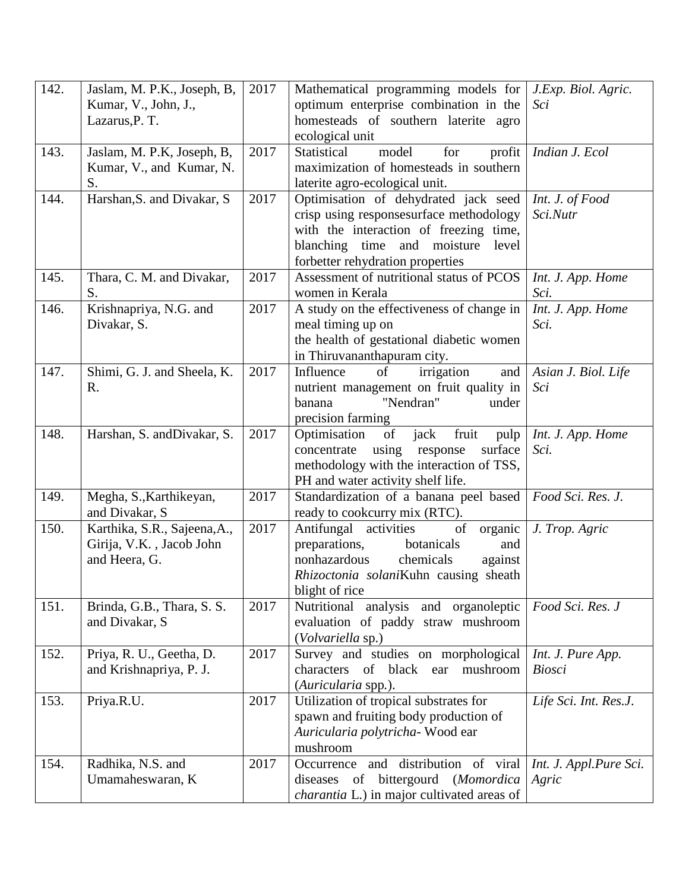| 142. | Jaslam, M. P.K., Joseph, B,  | 2017 | Mathematical programming models for                           | J.Exp. Biol. Agric.    |
|------|------------------------------|------|---------------------------------------------------------------|------------------------|
|      | Kumar, V., John, J.,         |      | optimum enterprise combination in the                         | Sci                    |
|      | Lazarus, P. T.               |      | homesteads of southern laterite agro                          |                        |
|      |                              |      | ecological unit                                               |                        |
| 143. | Jaslam, M. P.K, Joseph, B,   | 2017 | model<br>for<br><b>Statistical</b><br>profit                  | Indian J. Ecol         |
|      | Kumar, V., and Kumar, N.     |      | maximization of homesteads in southern                        |                        |
|      | S.                           |      | laterite agro-ecological unit.                                |                        |
| 144. | Harshan, S. and Divakar, S.  | 2017 | Optimisation of dehydrated jack seed                          | Int. J. of Food        |
|      |                              |      | crisp using responsesurface methodology                       | Sci.Nutr               |
|      |                              |      | with the interaction of freezing time,                        |                        |
|      |                              |      | blanching time and moisture<br>level                          |                        |
|      |                              |      | forbetter rehydration properties                              |                        |
| 145. | Thara, C. M. and Divakar,    | 2017 | Assessment of nutritional status of PCOS                      | Int. J. App. Home      |
|      | S.                           |      | women in Kerala                                               | Sci.                   |
| 146. | Krishnapriya, N.G. and       | 2017 | A study on the effectiveness of change in                     | Int. J. App. Home      |
|      | Divakar, S.                  |      | meal timing up on                                             | Sci.                   |
|      |                              |      | the health of gestational diabetic women                      |                        |
|      |                              |      | in Thiruvananthapuram city.                                   |                        |
| 147. | Shimi, G. J. and Sheela, K.  | 2017 | Influence<br>irrigation<br>of<br>and                          | Asian J. Biol. Life    |
|      | R.                           |      | nutrient management on fruit quality in<br>"Nendran"<br>under | Sci                    |
|      |                              |      | banana                                                        |                        |
| 148. | Harshan, S. and Divakar, S.  | 2017 | precision farming<br>of<br>fruit<br>Optimisation<br>jack      | Int. J. App. Home      |
|      |                              |      | pulp<br>using<br>response<br>surface<br>concentrate           | Sci.                   |
|      |                              |      | methodology with the interaction of TSS,                      |                        |
|      |                              |      | PH and water activity shelf life.                             |                        |
| 149. | Megha, S., Karthikeyan,      | 2017 | Standardization of a banana peel based                        | Food Sci. Res. J.      |
|      | and Divakar, S               |      | ready to cookcurry mix (RTC).                                 |                        |
| 150. | Karthika, S.R., Sajeena, A., | 2017 | Antifungal activities<br>of<br>organic                        | J. Trop. Agric         |
|      | Girija, V.K., Jacob John     |      | preparations,<br>botanicals<br>and                            |                        |
|      | and Heera, G.                |      | nonhazardous<br>chemicals<br>against                          |                        |
|      |                              |      | Rhizoctonia solaniKuhn causing sheath                         |                        |
|      |                              |      | blight of rice                                                |                        |
| 151. | Brinda, G.B., Thara, S.S.    | 2017 | Nutritional analysis and organoleptic                         | Food Sci. Res. J       |
|      | and Divakar, S               |      | evaluation of paddy straw mushroom                            |                        |
|      |                              |      | (Volvariella sp.)                                             |                        |
| 152. | Priya, R. U., Geetha, D.     | 2017 | Survey and studies on morphological                           | Int. J. Pure App.      |
|      | and Krishnapriya, P. J.      |      | of<br>black ear<br>characters<br>mushroom                     | <b>Biosci</b>          |
|      |                              |      | (Auricularia spp.).                                           |                        |
| 153. | Priya.R.U.                   | 2017 | Utilization of tropical substrates for                        | Life Sci. Int. Res.J.  |
|      |                              |      | spawn and fruiting body production of                         |                        |
|      |                              |      | Auricularia polytricha- Wood ear                              |                        |
|      |                              |      | mushroom                                                      |                        |
| 154. | Radhika, N.S. and            | 2017 | and distribution of viral<br>Occurrence                       | Int. J. Appl.Pure Sci. |
|      | Umamaheswaran, K             |      | bittergourd<br>diseases<br>(Momordica<br>of                   | Agric                  |
|      |                              |      | <i>charantia</i> L.) in major cultivated areas of             |                        |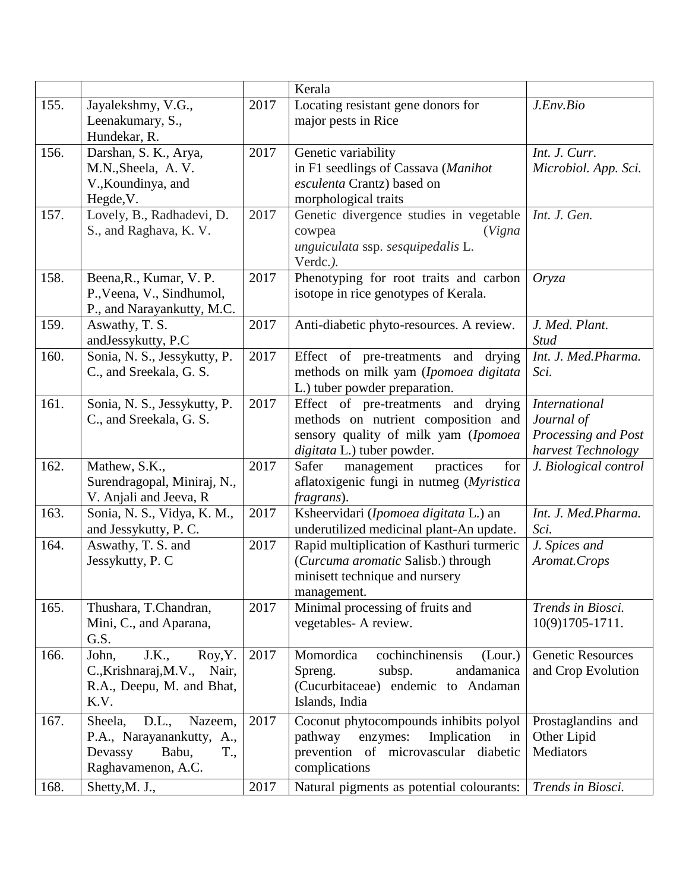|      |                                                             |      | Kerala                                     |                          |
|------|-------------------------------------------------------------|------|--------------------------------------------|--------------------------|
| 155. | Jayalekshmy, V.G.,                                          | 2017 | Locating resistant gene donors for         | J.Env.Bio                |
|      | Leenakumary, S.,                                            |      | major pests in Rice                        |                          |
|      | Hundekar, R.                                                |      |                                            |                          |
| 156. | Darshan, S. K., Arya,                                       | 2017 | Genetic variability                        | Int. J. Curr.            |
|      | M.N., Sheela, A.V.                                          |      | in F1 seedlings of Cassava (Manihot        | Microbiol. App. Sci.     |
|      | V., Koundinya, and                                          |      | esculenta Crantz) based on                 |                          |
|      | Hegde, V.                                                   |      | morphological traits                       |                          |
| 157. | Lovely, B., Radhadevi, D.                                   | 2017 | Genetic divergence studies in vegetable    | Int. J. Gen.             |
|      | S., and Raghava, K. V.                                      |      | (Vigna<br>cowpea                           |                          |
|      |                                                             |      | unguiculata ssp. sesquipedalis L.          |                          |
|      |                                                             |      | Verdc.).                                   |                          |
| 158. | Beena, R., Kumar, V.P.                                      | 2017 | Phenotyping for root traits and carbon     | Oryza                    |
|      | P., Veena, V., Sindhumol,                                   |      | isotope in rice genotypes of Kerala.       |                          |
|      | P., and Narayankutty, M.C.                                  |      |                                            |                          |
| 159. | Aswathy, T. S.                                              | 2017 | Anti-diabetic phyto-resources. A review.   | J. Med. Plant.           |
|      | andJessykutty, P.C                                          |      |                                            | <b>Stud</b>              |
| 160. | Sonia, N. S., Jessykutty, P.                                | 2017 | Effect of pre-treatments and<br>drying     | Int. J. Med.Pharma.      |
|      | C., and Sreekala, G. S.                                     |      | methods on milk yam (Ipomoea digitata      | Sci.                     |
|      |                                                             |      | L.) tuber powder preparation.              |                          |
| 161. | Sonia, N. S., Jessykutty, P.                                | 2017 | Effect of pre-treatments and drying        | <b>International</b>     |
|      | C., and Sreekala, G. S.                                     |      | methods on nutrient composition and        | Journal of               |
|      |                                                             |      | sensory quality of milk yam (Ipomoea       | Processing and Post      |
|      |                                                             |      | digitata L.) tuber powder.                 | harvest Technology       |
| 162. | Mathew, S.K.,                                               | 2017 | practices<br>Safer<br>for<br>management    | J. Biological control    |
|      | Surendragopal, Miniraj, N.,                                 |      | aflatoxigenic fungi in nutmeg (Myristica   |                          |
|      | V. Anjali and Jeeva, R                                      |      | fragrans).                                 |                          |
| 163. | Sonia, N. S., Vidya, K. M.,                                 | 2017 | Ksheervidari (Ipomoea digitata L.) an      | Int. J. Med.Pharma.      |
|      | and Jessykutty, P. C.                                       |      | underutilized medicinal plant-An update.   | Sci.                     |
| 164. | Aswathy, T. S. and                                          | 2017 | Rapid multiplication of Kasthuri turmeric  | J. Spices and            |
|      | Jessykutty, P. C                                            |      | (Curcuma aromatic Salisb.) through         | Aromat.Crops             |
|      |                                                             |      | minisett technique and nursery             |                          |
|      |                                                             |      | management.                                |                          |
| 165. | Thushara, T.Chandran,                                       | 2017 | Minimal processing of fruits and           | Trends in Biosci.        |
|      | Mini, C., and Aparana,                                      |      | vegetables- A review.                      | 10(9)1705-1711.          |
| 166. | G.S.                                                        | 2017 | cochinchinensis<br>Momordica               | <b>Genetic Resources</b> |
|      | J.K.,<br>Roy, Y.<br>John,<br>C., Krishnaraj, M.V.,<br>Nair, |      | (Lour.)<br>andamanica<br>Spreng.<br>subsp. | and Crop Evolution       |
|      |                                                             |      | (Cucurbitaceae) endemic to Andaman         |                          |
|      | R.A., Deepu, M. and Bhat,<br>K.V.                           |      | Islands, India                             |                          |
|      |                                                             |      |                                            |                          |
| 167. | D.L.,<br>Sheela,<br>Nazeem,                                 | 2017 | Coconut phytocompounds inhibits polyol     | Prostaglandins and       |
|      | P.A., Narayanankutty, A.,                                   |      | pathway<br>Implication<br>enzymes:<br>in   | Other Lipid              |
|      | Devassy<br>T.,<br>Babu,                                     |      | prevention of microvascular<br>diabetic    | Mediators                |
|      | Raghavamenon, A.C.                                          |      | complications                              |                          |
| 168. | Shetty, M. J.,                                              | 2017 | Natural pigments as potential colourants:  | Trends in Biosci.        |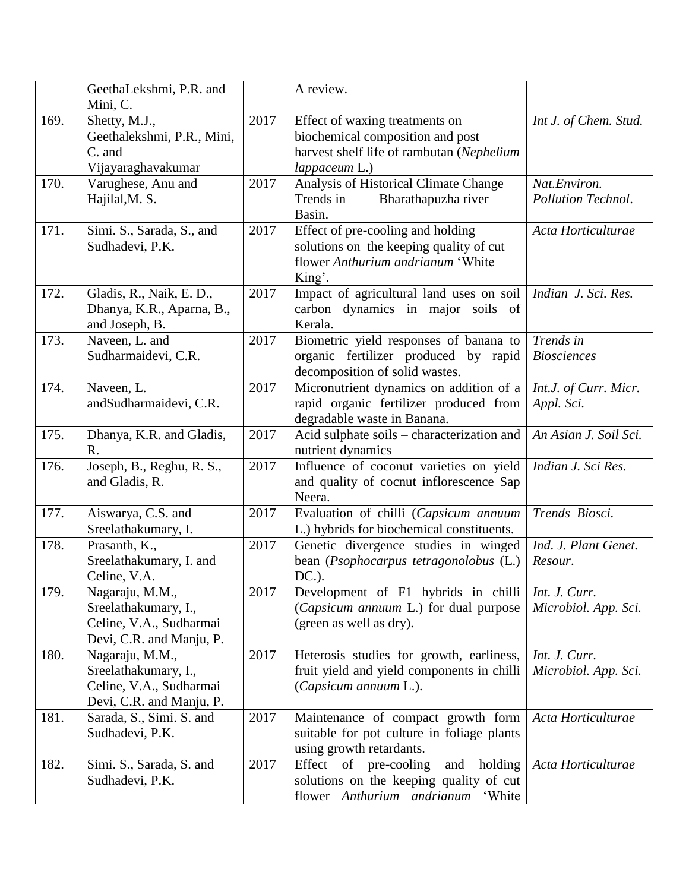|      | GeethaLekshmi, P.R. and<br>Mini, C.                                                            |      | A review.                                                                                                                        |                                       |
|------|------------------------------------------------------------------------------------------------|------|----------------------------------------------------------------------------------------------------------------------------------|---------------------------------------|
| 169. | Shetty, M.J.,<br>Geethalekshmi, P.R., Mini,<br>C. and<br>Vijayaraghavakumar                    | 2017 | Effect of waxing treatments on<br>biochemical composition and post<br>harvest shelf life of rambutan (Nephelium<br>lappaceum L.) | Int J. of Chem. Stud.                 |
| 170. | Varughese, Anu and<br>Hajilal, M. S.                                                           | 2017 | Analysis of Historical Climate Change<br>Bharathapuzha river<br>Trends in<br>Basin.                                              | Nat.Environ.<br>Pollution Technol.    |
| 171. | Simi. S., Sarada, S., and<br>Sudhadevi, P.K.                                                   | 2017 | Effect of pre-cooling and holding<br>solutions on the keeping quality of cut<br>flower Anthurium andrianum 'White<br>King'.      | Acta Horticulturae                    |
| 172. | Gladis, R., Naik, E. D.,<br>Dhanya, K.R., Aparna, B.,<br>and Joseph, B.                        | 2017 | Impact of agricultural land uses on soil<br>carbon dynamics in major soils of<br>Kerala.                                         | Indian J. Sci. Res.                   |
| 173. | Naveen, L. and<br>Sudharmaidevi, C.R.                                                          | 2017 | Biometric yield responses of banana to<br>organic fertilizer produced by rapid<br>decomposition of solid wastes.                 | Trends in<br><b>Biosciences</b>       |
| 174. | Naveen, L.<br>andSudharmaidevi, C.R.                                                           | 2017 | Micronutrient dynamics on addition of a<br>rapid organic fertilizer produced from<br>degradable waste in Banana.                 | Int.J. of Curr. Micr.<br>Appl. Sci.   |
| 175. | Dhanya, K.R. and Gladis,<br>R.                                                                 | 2017 | Acid sulphate soils – characterization and<br>nutrient dynamics                                                                  | An Asian J. Soil Sci.                 |
| 176. | Joseph, B., Reghu, R. S.,<br>and Gladis, R.                                                    | 2017 | Influence of coconut varieties on yield<br>and quality of cocnut inflorescence Sap<br>Neera.                                     | Indian J. Sci Res.                    |
| 177. | Aiswarya, C.S. and<br>Sreelathakumary, I.                                                      | 2017 | Evaluation of chilli (Capsicum annuum<br>L.) hybrids for biochemical constituents.                                               | Trends Biosci.                        |
| 178. | Prasanth, K.,<br>Sreelathakumary, I. and<br>Celine, V.A.                                       | 2017 | Genetic divergence studies in winged<br>bean (Psophocarpus tetragonolobus (L.)<br>$DC.$ ).                                       | Ind. J. Plant Genet.<br>Resour.       |
| 179. | Nagaraju, M.M.,<br>Sreelathakumary, I.,<br>Celine, V.A., Sudharmai<br>Devi, C.R. and Manju, P. | 2017 | Development of F1 hybrids in chilli<br>(Capsicum annuum L.) for dual purpose<br>(green as well as dry).                          | Int. J. Curr.<br>Microbiol. App. Sci. |
| 180. | Nagaraju, M.M.,<br>Sreelathakumary, I.,<br>Celine, V.A., Sudharmai<br>Devi, C.R. and Manju, P. | 2017 | Heterosis studies for growth, earliness,<br>fruit yield and yield components in chilli<br>(Capsicum annuum L.).                  | Int. J. Curr.<br>Microbiol. App. Sci. |
| 181. | Sarada, S., Simi. S. and<br>Sudhadevi, P.K.                                                    | 2017 | Maintenance of compact growth form<br>suitable for pot culture in foliage plants<br>using growth retardants.                     | Acta Horticulturae                    |
| 182. | Simi. S., Sarada, S. and<br>Sudhadevi, P.K.                                                    | 2017 | pre-cooling<br>Effect<br>of<br>holding<br>and<br>solutions on the keeping quality of cut<br>flower Anthurium andrianum<br>'White | Acta Horticulturae                    |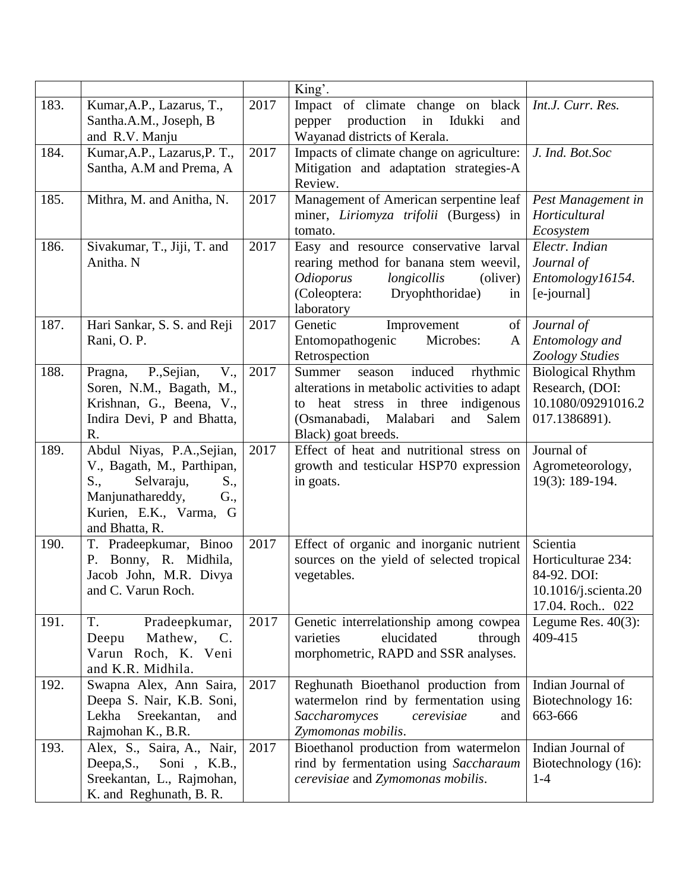|      |                                                                                                                                                             |      | King'.                                                                                                                                                                                        |                                                                                           |
|------|-------------------------------------------------------------------------------------------------------------------------------------------------------------|------|-----------------------------------------------------------------------------------------------------------------------------------------------------------------------------------------------|-------------------------------------------------------------------------------------------|
| 183. | Kumar, A.P., Lazarus, T.,<br>Santha.A.M., Joseph, B<br>and R.V. Manju                                                                                       | 2017 | Impact of climate change on black<br>production<br>in Idukki<br>pepper<br>and<br>Wayanad districts of Kerala.                                                                                 | Int.J. Curr. Res.                                                                         |
| 184. | Kumar, A.P., Lazarus, P.T.,<br>Santha, A.M and Prema, A                                                                                                     | 2017 | Impacts of climate change on agriculture:<br>Mitigation and adaptation strategies-A<br>Review.                                                                                                | J. Ind. Bot.Soc                                                                           |
| 185. | Mithra, M. and Anitha, N.                                                                                                                                   | 2017 | Management of American serpentine leaf<br>miner, Liriomyza trifolii (Burgess) in<br>tomato.                                                                                                   | Pest Management in<br>Horticultural<br>Ecosystem                                          |
| 186. | Sivakumar, T., Jiji, T. and<br>Anitha. N                                                                                                                    | 2017 | Easy and resource conservative larval<br>rearing method for banana stem weevil,<br><i>Odioporus</i><br>longicollis<br>(oliver)<br>(Coleoptera:<br>Dryophthoridae)<br>in<br>laboratory         | Electr. Indian<br>Journal of<br>Entomology16154.<br>[e-journal]                           |
| 187. | Hari Sankar, S. S. and Reji<br>Rani, O.P.                                                                                                                   | 2017 | Genetic<br>Improvement<br>of<br>Entomopathogenic<br>Microbes:<br>A<br>Retrospection                                                                                                           | Journal of<br>Entomology and<br>Zoology Studies                                           |
| 188. | V.,<br>P., Sejian,<br>Pragna,<br>Soren, N.M., Bagath, M.,<br>Krishnan, G., Beena, V.,<br>Indira Devi, P and Bhatta,<br>R.                                   | 2017 | rhythmic<br>Summer<br>induced<br>season<br>alterations in metabolic activities to adapt<br>to heat stress in three indigenous<br>(Osmanabadi, Malabari<br>and<br>Salem<br>Black) goat breeds. | <b>Biological Rhythm</b><br>Research, (DOI:<br>10.1080/09291016.2<br>017.1386891).        |
| 189. | Abdul Niyas, P.A., Sejian,<br>V., Bagath, M., Parthipan,<br>Selvaraju,<br>S.,<br>S.,<br>Manjunathareddy,<br>G.,<br>Kurien, E.K., Varma, G<br>and Bhatta, R. | 2017 | Effect of heat and nutritional stress on<br>growth and testicular HSP70 expression<br>in goats.                                                                                               | Journal of<br>Agrometeorology,<br>19(3): 189-194.                                         |
| 190. | T. Pradeepkumar, Binoo<br>P. Bonny, R. Midhila,<br>Jacob John, M.R. Divya<br>and C. Varun Roch.                                                             | 2017 | Effect of organic and inorganic nutrient<br>sources on the yield of selected tropical<br>vegetables.                                                                                          | Scientia<br>Horticulturae 234:<br>84-92. DOI:<br>10.1016/j.scienta.20<br>17.04. Roch. 022 |
| 191. | T.<br>Pradeepkumar,<br>Mathew,<br>$\mathbf{C}$ .<br>Deepu<br>Varun Roch, K. Veni<br>and K.R. Midhila.                                                       | 2017 | Genetic interrelationship among cowpea<br>elucidated<br>through<br>varieties<br>morphometric, RAPD and SSR analyses.                                                                          | Legume Res. $40(3)$ :<br>409-415                                                          |
| 192. | Swapna Alex, Ann Saira,<br>Deepa S. Nair, K.B. Soni,<br>Sreekantan,<br>Lekha<br>and<br>Rajmohan K., B.R.                                                    | 2017 | Reghunath Bioethanol production from<br>watermelon rind by fermentation using<br>Saccharomyces<br>cerevisiae<br>and<br>Zymomonas mobilis.                                                     | Indian Journal of<br>Biotechnology 16:<br>663-666                                         |
| 193. | Alex, S., Saira, A., Nair,<br>Deepa, S.,<br>Soni, K.B.,<br>Sreekantan, L., Rajmohan,<br>K. and Reghunath, B. R.                                             | 2017 | Bioethanol production from watermelon<br>rind by fermentation using Saccharaum<br>cerevisiae and Zymomonas mobilis.                                                                           | Indian Journal of<br>Biotechnology (16):<br>$1 - 4$                                       |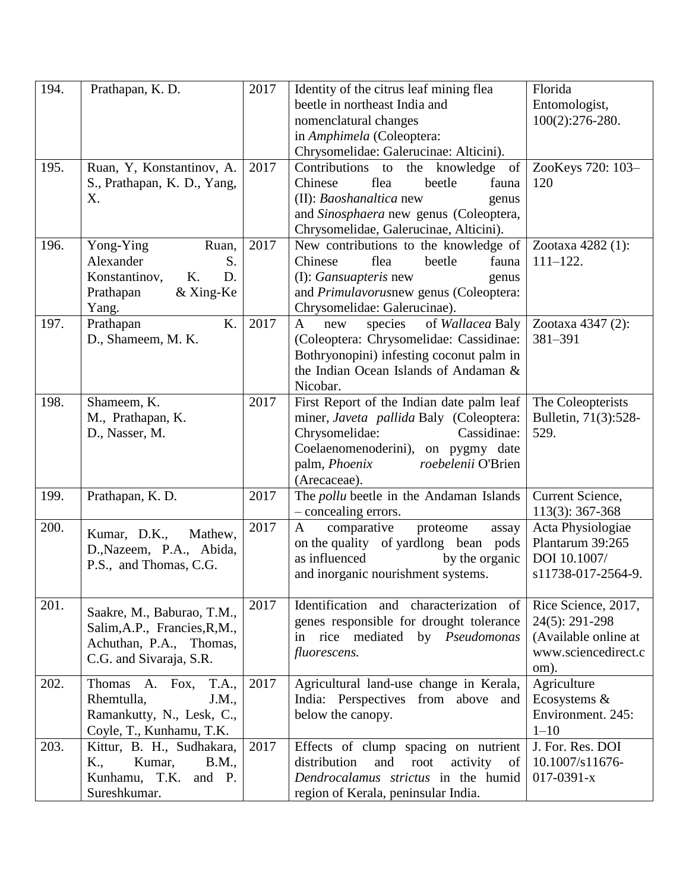| 194. | Prathapan, K. D.              | 2017 | Identity of the citrus leaf mining flea            | Florida              |
|------|-------------------------------|------|----------------------------------------------------|----------------------|
|      |                               |      | beetle in northeast India and                      | Entomologist,        |
|      |                               |      | nomenclatural changes                              | $100(2):276-280.$    |
|      |                               |      | in Amphimela (Coleoptera:                          |                      |
|      |                               |      | Chrysomelidae: Galerucinae: Alticini).             |                      |
| 195. | Ruan, Y, Konstantinov, A.     | 2017 | Contributions to the knowledge<br>of               | ZooKeys 720: 103-    |
|      | S., Prathapan, K. D., Yang,   |      | flea<br>Chinese<br>beetle<br>fauna                 | 120                  |
|      | X.                            |      | (II): Baoshanaltica new<br>genus                   |                      |
|      |                               |      | and Sinosphaera new genus (Coleoptera,             |                      |
|      |                               |      | Chrysomelidae, Galerucinae, Alticini).             |                      |
| 196. | Yong-Ying<br>Ruan,            | 2017 | New contributions to the knowledge of              | Zootaxa 4282 (1):    |
|      | Alexander<br>S.               |      | Chinese<br>flea<br>beetle<br>fauna                 | $111 - 122.$         |
|      | D.<br>Konstantinov,<br>Κ.     |      | (I): <i>Gansuapteris</i> new<br>genus              |                      |
|      | & Xing-Ke<br>Prathapan        |      | and <i>Primulavorusnew</i> genus (Coleoptera:      |                      |
|      | Yang.                         |      | Chrysomelidae: Galerucinae).                       |                      |
| 197. | K.<br>Prathapan               | 2017 | of Wallacea Baly<br>$\mathbf{A}$<br>species<br>new | Zootaxa 4347 (2):    |
|      | D., Shameem, M. K.            |      | (Coleoptera: Chrysomelidae: Cassidinae:            | 381-391              |
|      |                               |      | Bothryonopini) infesting coconut palm in           |                      |
|      |                               |      | the Indian Ocean Islands of Andaman &              |                      |
|      |                               |      | Nicobar.                                           |                      |
| 198. | Shameem, K.                   | 2017 | First Report of the Indian date palm leaf          | The Coleopterists    |
|      | M., Prathapan, K.             |      | miner, Javeta pallida Baly (Coleoptera:            | Bulletin, 71(3):528- |
|      | D., Nasser, M.                |      | Cassidinae:<br>Chrysomelidae:                      | 529.                 |
|      |                               |      | Coelaenomenoderini), on pygmy date                 |                      |
|      |                               |      | palm, Phoenix<br>roebelenii O'Brien                |                      |
|      |                               |      | (Arecaceae).                                       |                      |
| 199. | Prathapan, K. D.              | 2017 | The <i>pollu</i> beetle in the Andaman Islands     | Current Science,     |
|      |                               |      | - concealing errors.                               | 113(3): 367-368      |
| 200. | Kumar, D.K.,<br>Mathew,       | 2017 | comparative<br>$\mathbf{A}$<br>proteome<br>assay   | Acta Physiologiae    |
|      | D., Nazeem, P.A., Abida,      |      | on the quality of yardlong bean pods               | Plantarum 39:265     |
|      | P.S., and Thomas, C.G.        |      | as influenced<br>by the organic                    | DOI 10.1007/         |
|      |                               |      | and inorganic nourishment systems.                 | s11738-017-2564-9.   |
|      |                               |      |                                                    |                      |
| 201. | Saakre, M., Baburao, T.M.,    | 2017 | Identification and characterization of             | Rice Science, 2017,  |
|      | Salim, A.P., Francies, R, M., |      | genes responsible for drought tolerance            | 24(5): 291-298       |
|      | Achuthan, P.A., Thomas,       |      | in rice mediated<br>by Pseudomonas                 | (Available online at |
|      | C.G. and Sivaraja, S.R.       |      | fluorescens.                                       | www.sciencedirect.c  |
|      |                               |      |                                                    | om).                 |
| 202. | Thomas A. Fox,<br>T.A.,       | 2017 | Agricultural land-use change in Kerala,            | Agriculture          |
|      | Rhemtulla,<br>J.M.,           |      | India: Perspectives from above and                 | Ecosystems &         |
|      | Ramankutty, N., Lesk, C.,     |      | below the canopy.                                  | Environment. 245:    |
|      | Coyle, T., Kunhamu, T.K.      |      |                                                    | $1 - 10$             |
| 203. | Kittur, B. H., Sudhakara,     | 2017 | Effects of clump spacing on nutrient               | J. For. Res. DOI     |
|      | Kumar,<br>K.,<br>B.M.,        |      | and<br>distribution<br>root<br>activity<br>of      | 10.1007/s11676-      |
|      | Kunhamu, T.K.<br>and P.       |      | Dendrocalamus strictus in the humid                | $017 - 0391 - x$     |
|      | Sureshkumar.                  |      | region of Kerala, peninsular India.                |                      |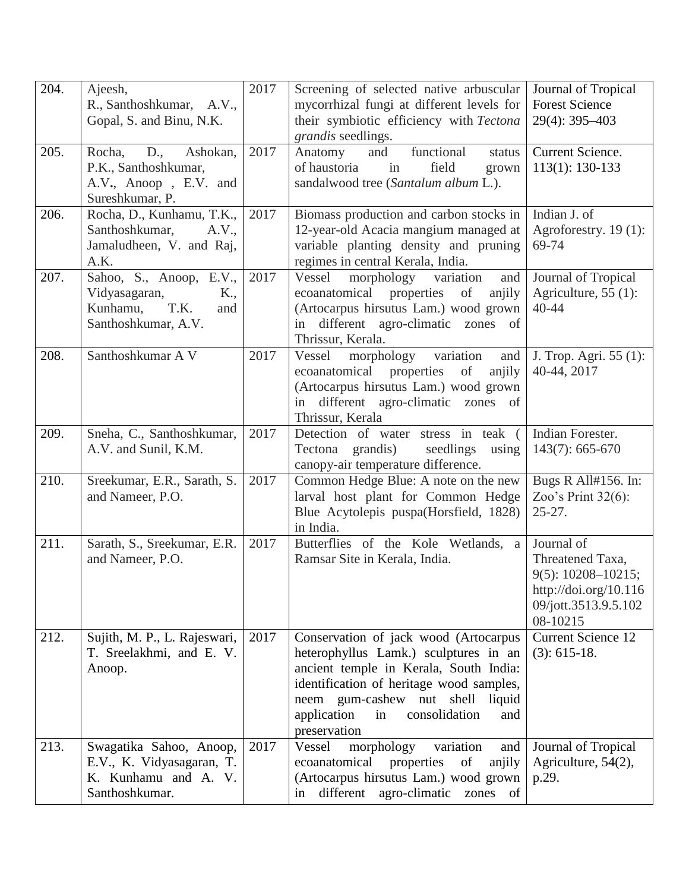| 204. | Ajeesh,<br>R., Santhoshkumar, A.V.,<br>Gopal, S. and Binu, N.K.                                       | 2017 | Screening of selected native arbuscular<br>mycorrhizal fungi at different levels for<br>their symbiotic efficiency with Tectona<br>grandis seedlings.                                                                                                                    | Journal of Tropical<br><b>Forest Science</b><br>29(4): 395-403                                                        |
|------|-------------------------------------------------------------------------------------------------------|------|--------------------------------------------------------------------------------------------------------------------------------------------------------------------------------------------------------------------------------------------------------------------------|-----------------------------------------------------------------------------------------------------------------------|
| 205. | $D_{\cdot}$<br>Rocha,<br>Ashokan,<br>P.K., Santhoshkumar,<br>A.V., Anoop, E.V. and<br>Sureshkumar, P. | 2017 | functional<br>and<br>Anatomy<br>status<br>of haustoria<br>field<br>in<br>grown<br>sandalwood tree (Santalum album L.).                                                                                                                                                   | Current Science.<br>$113(1): 130-133$                                                                                 |
| 206. | Rocha, D., Kunhamu, T.K.,<br>Santhoshkumar,<br>A.V.,<br>Jamaludheen, V. and Raj,<br>A.K.              | 2017 | Biomass production and carbon stocks in<br>12-year-old Acacia mangium managed at<br>variable planting density and pruning<br>regimes in central Kerala, India.                                                                                                           | Indian J. of<br>Agroforestry. 19(1):<br>69-74                                                                         |
| 207. | Sahoo, S., Anoop, E.V.,<br>Vidyasagaran,<br>K.,<br>T.K.<br>Kunhamu,<br>and<br>Santhoshkumar, A.V.     | 2017 | Vessel<br>morphology<br>variation<br>and<br>ecoanatomical properties of<br>anjily<br>(Artocarpus hirsutus Lam.) wood grown<br>in different agro-climatic zones of<br>Thrissur, Kerala.                                                                                   | Journal of Tropical<br>Agriculture, $55(1)$ :<br>40-44                                                                |
| 208. | Santhoshkumar A V                                                                                     | 2017 | morphology variation<br>Vessel<br>and<br>ecoanatomical<br>properties<br>of<br>anjily<br>(Artocarpus hirsutus Lam.) wood grown<br>in different agro-climatic zones of<br>Thrissur, Kerala                                                                                 | J. Trop. Agri. 55 (1):<br>40-44, 2017                                                                                 |
| 209. | Sneha, C., Santhoshkumar,<br>A.V. and Sunil, K.M.                                                     | 2017 | Detection of water stress in teak (<br>Tectona grandis)<br>seedlings<br>using<br>canopy-air temperature difference.                                                                                                                                                      | Indian Forester.<br>$143(7)$ : 665-670                                                                                |
| 210. | Sreekumar, E.R., Sarath, S.<br>and Nameer, P.O.                                                       | 2017 | Common Hedge Blue: A note on the new<br>larval host plant for Common Hedge<br>Blue Acytolepis puspa(Horsfield, 1828)<br>in India.                                                                                                                                        | Bugs R All#156. In:<br>Zoo's Print $32(6)$ :<br>$25 - 27$ .                                                           |
| 211. | Sarath, S., Sreekumar, E.R.<br>and Nameer, P.O.                                                       | 2017 | Butterflies of the Kole Wetlands, a<br>Ramsar Site in Kerala, India.                                                                                                                                                                                                     | Journal of<br>Threatened Taxa,<br>$9(5): 10208 - 10215;$<br>http://doi.org/10.116<br>09/jott.3513.9.5.102<br>08-10215 |
| 212. | Sujith, M. P., L. Rajeswari,<br>T. Sreelakhmi, and E. V.<br>Anoop.                                    | 2017 | Conservation of jack wood (Artocarpus<br>heterophyllus Lamk.) sculptures in an<br>ancient temple in Kerala, South India:<br>identification of heritage wood samples,<br>neem gum-cashew nut shell<br>liquid<br>application<br>consolidation<br>in<br>and<br>preservation | <b>Current Science 12</b><br>$(3): 615-18.$                                                                           |
| 213. | Swagatika Sahoo, Anoop,<br>E.V., K. Vidyasagaran, T.<br>K. Kunhamu and A. V.<br>Santhoshkumar.        | 2017 | Vessel<br>morphology<br>variation<br>and<br>ecoanatomical<br>properties<br>of<br>anjily<br>(Artocarpus hirsutus Lam.) wood grown<br>different agro-climatic zones of<br>in                                                                                               | Journal of Tropical<br>Agriculture, 54(2),<br>p.29.                                                                   |